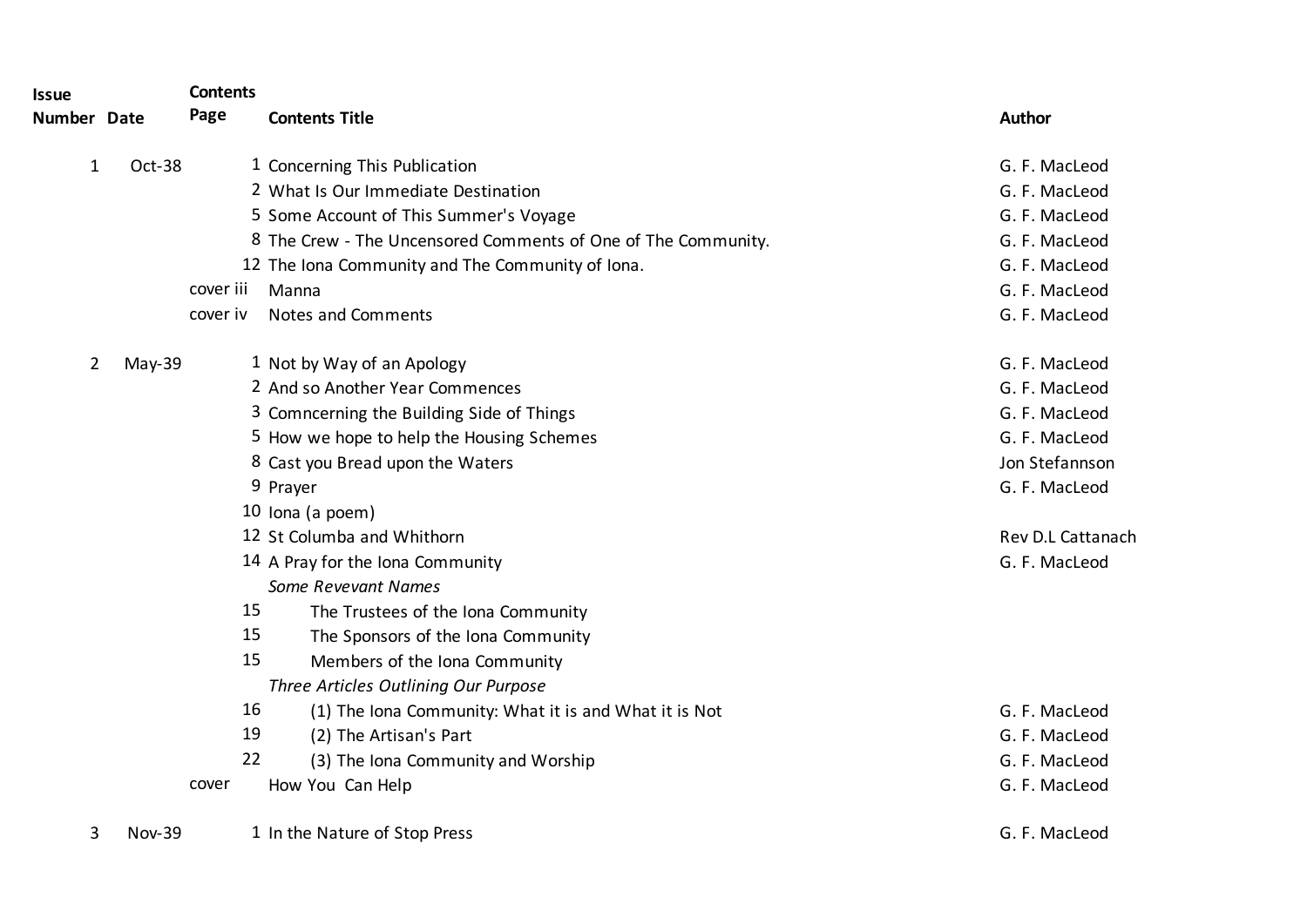| <b>Issue</b>   |               | <b>Contents</b> |                                                               |                   |
|----------------|---------------|-----------------|---------------------------------------------------------------|-------------------|
| Number Date    |               | Page            | <b>Contents Title</b>                                         | <b>Author</b>     |
| 1              | Oct-38        |                 | 1 Concerning This Publication                                 | G. F. MacLeod     |
|                |               |                 | 2 What Is Our Immediate Destination                           | G. F. MacLeod     |
|                |               |                 | 5 Some Account of This Summer's Voyage                        | G. F. MacLeod     |
|                |               |                 | 8 The Crew - The Uncensored Comments of One of The Community. | G. F. MacLeod     |
|                |               |                 | 12 The Iona Community and The Community of Iona.              | G. F. MacLeod     |
|                |               | cover iii       | Manna                                                         | G. F. MacLeod     |
|                |               | cover iv        | <b>Notes and Comments</b>                                     | G. F. MacLeod     |
| $\overline{2}$ | May-39        |                 | 1 Not by Way of an Apology                                    | G. F. MacLeod     |
|                |               |                 | 2 And so Another Year Commences                               | G. F. MacLeod     |
|                |               |                 | 3 Comncerning the Building Side of Things                     | G. F. MacLeod     |
|                |               |                 | 5 How we hope to help the Housing Schemes                     | G. F. MacLeod     |
|                |               |                 | 8 Cast you Bread upon the Waters                              | Jon Stefannson    |
|                |               |                 | 9 Prayer                                                      | G. F. MacLeod     |
|                |               |                 | 10 Iona (a poem)                                              |                   |
|                |               |                 | 12 St Columba and Whithorn                                    | Rev D.L Cattanach |
|                |               |                 | 14 A Pray for the Iona Community                              | G. F. MacLeod     |
|                |               |                 | <b>Some Revevant Names</b>                                    |                   |
|                |               | 15              | The Trustees of the Iona Community                            |                   |
|                |               | 15              | The Sponsors of the Iona Community                            |                   |
|                |               | 15              | Members of the Iona Community                                 |                   |
|                |               |                 | Three Articles Outlining Our Purpose                          |                   |
|                |               | 16              | (1) The Iona Community: What it is and What it is Not         | G. F. MacLeod     |
|                |               | 19              | (2) The Artisan's Part                                        | G. F. MacLeod     |
|                |               | 22              | (3) The Iona Community and Worship                            | G. F. MacLeod     |
|                |               | cover           | How You Can Help                                              | G. F. MacLeod     |
| 3              | <b>Nov-39</b> |                 | 1 In the Nature of Stop Press                                 | G. F. MacLeod     |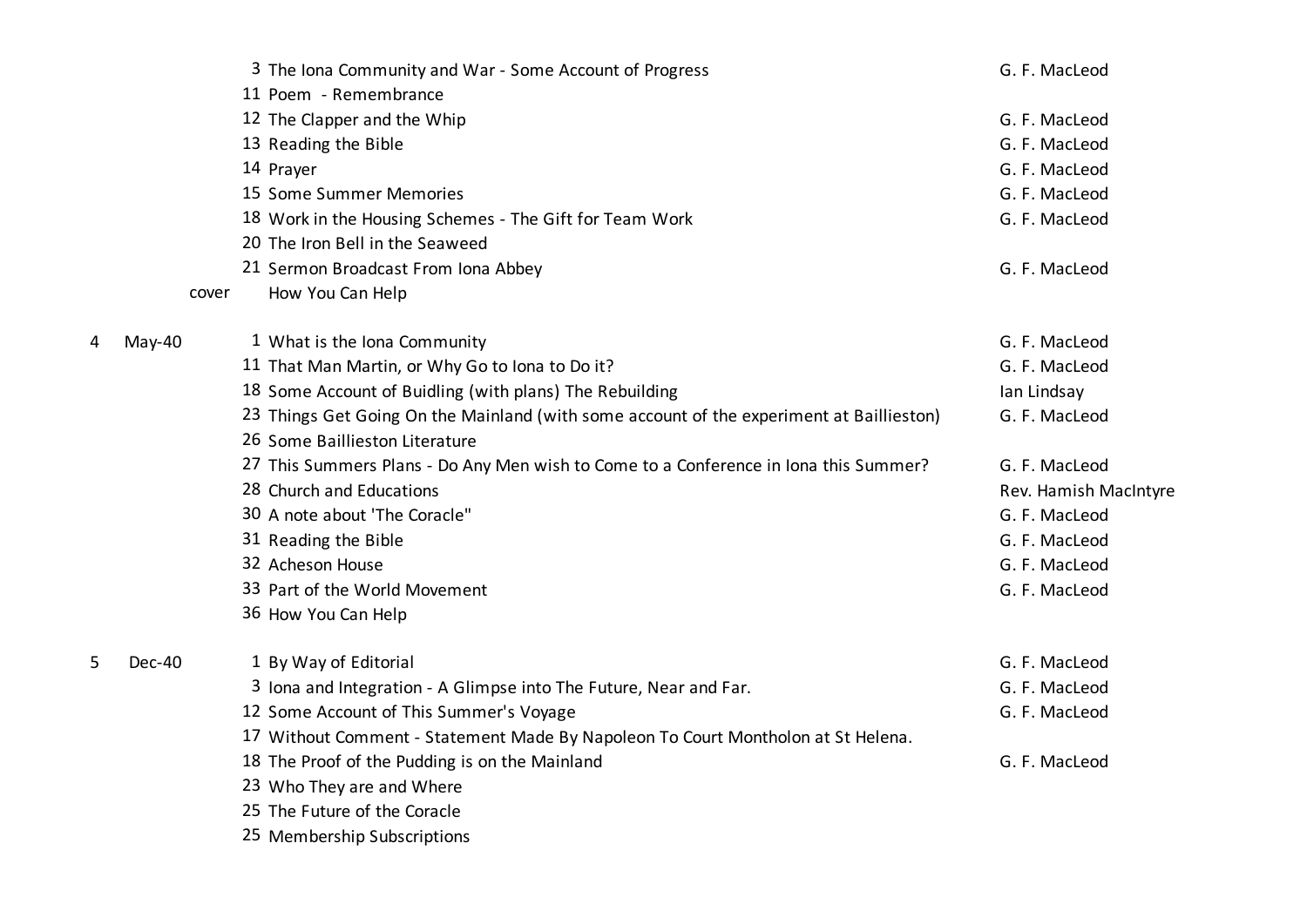|   |        | 3 The Iona Community and War - Some Account of Progress                                  | G. F. MacLeod         |
|---|--------|------------------------------------------------------------------------------------------|-----------------------|
|   |        | 11 Poem - Remembrance                                                                    |                       |
|   |        | 12 The Clapper and the Whip                                                              | G. F. MacLeod         |
|   |        | 13 Reading the Bible                                                                     | G. F. MacLeod         |
|   |        | 14 Prayer                                                                                | G. F. MacLeod         |
|   |        | 15 Some Summer Memories                                                                  | G. F. MacLeod         |
|   |        | 18 Work in the Housing Schemes - The Gift for Team Work                                  | G. F. MacLeod         |
|   |        | 20 The Iron Bell in the Seaweed                                                          |                       |
|   |        | 21 Sermon Broadcast From Iona Abbey                                                      | G. F. MacLeod         |
|   | cover  | How You Can Help                                                                         |                       |
| 4 | May-40 | 1 What is the Iona Community                                                             | G. F. MacLeod         |
|   |        | 11 That Man Martin, or Why Go to Iona to Do it?                                          | G. F. MacLeod         |
|   |        | 18 Some Account of Buidling (with plans) The Rebuilding                                  | Ian Lindsay           |
|   |        | 23 Things Get Going On the Mainland (with some account of the experiment at Baillieston) | G. F. MacLeod         |
|   |        | 26 Some Baillieston Literature                                                           |                       |
|   |        | 27 This Summers Plans - Do Any Men wish to Come to a Conference in Iona this Summer?     | G. F. MacLeod         |
|   |        | 28 Church and Educations                                                                 | Rev. Hamish MacIntyre |
|   |        | 30 A note about 'The Coracle"                                                            | G. F. MacLeod         |
|   |        | 31 Reading the Bible                                                                     | G. F. MacLeod         |
|   |        | 32 Acheson House                                                                         | G. F. MacLeod         |
|   |        | 33 Part of the World Movement                                                            | G. F. MacLeod         |
|   |        | 36 How You Can Help                                                                      |                       |
| 5 | Dec-40 | 1 By Way of Editorial                                                                    | G. F. MacLeod         |
|   |        | 3 Iona and Integration - A Glimpse into The Future, Near and Far.                        | G. F. MacLeod         |
|   |        | 12 Some Account of This Summer's Voyage                                                  | G. F. MacLeod         |
|   |        | 17 Without Comment - Statement Made By Napoleon To Court Montholon at St Helena.         |                       |
|   |        | 18 The Proof of the Pudding is on the Mainland                                           | G. F. MacLeod         |
|   |        | 23 Who They are and Where                                                                |                       |
|   |        | 25 The Future of the Coracle                                                             |                       |
|   |        | 25 Membership Subscriptions                                                              |                       |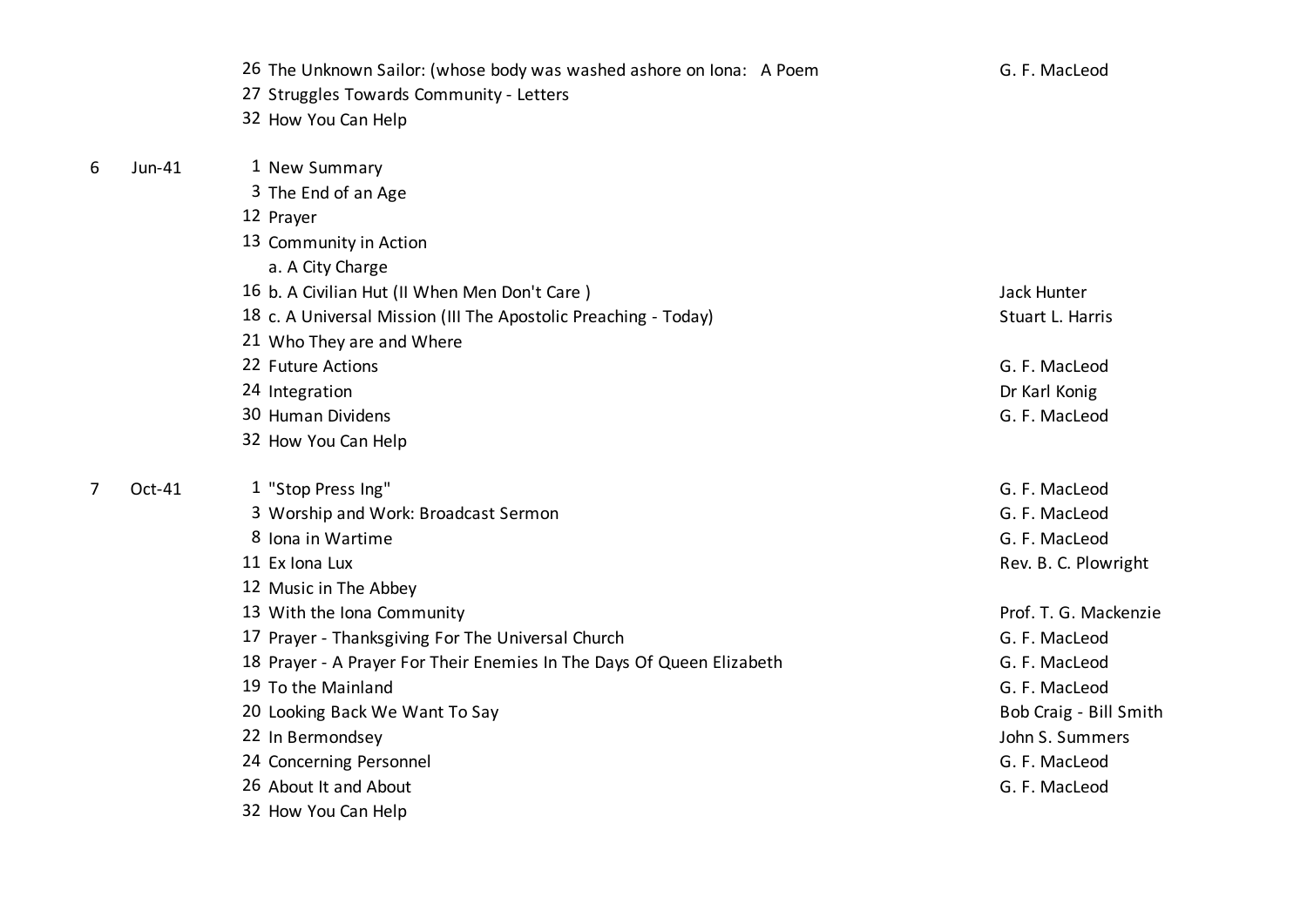|   |        | 26 The Unknown Sailor: (whose body was washed ashore on Iona: A Poem  | G. F. MacLeod          |
|---|--------|-----------------------------------------------------------------------|------------------------|
|   |        | 27 Struggles Towards Community - Letters                              |                        |
|   |        | 32 How You Can Help                                                   |                        |
| 6 | Jun-41 | 1 New Summary                                                         |                        |
|   |        | 3 The End of an Age                                                   |                        |
|   |        | 12 Prayer                                                             |                        |
|   |        | 13 Community in Action                                                |                        |
|   |        | a. A City Charge                                                      |                        |
|   |        | 16 b. A Civilian Hut (II When Men Don't Care)                         | Jack Hunter            |
|   |        | 18 c. A Universal Mission (III The Apostolic Preaching - Today)       | Stuart L. Harris       |
|   |        | 21 Who They are and Where                                             |                        |
|   |        | 22 Future Actions                                                     | G. F. MacLeod          |
|   |        | 24 Integration                                                        | Dr Karl Konig          |
|   |        | 30 Human Dividens                                                     | G. F. MacLeod          |
|   |        | 32 How You Can Help                                                   |                        |
| 7 | Oct-41 | 1 "Stop Press Ing"                                                    | G. F. MacLeod          |
|   |        | 3 Worship and Work: Broadcast Sermon                                  | G. F. MacLeod          |
|   |        | 8 Iona in Wartime                                                     | G. F. MacLeod          |
|   |        | 11 Ex Iona Lux                                                        | Rev. B. C. Plowright   |
|   |        | 12 Music in The Abbey                                                 |                        |
|   |        | 13 With the Iona Community                                            | Prof. T. G. Mackenzie  |
|   |        | 17 Prayer - Thanksgiving For The Universal Church                     | G. F. MacLeod          |
|   |        | 18 Prayer - A Prayer For Their Enemies In The Days Of Queen Elizabeth | G. F. MacLeod          |
|   |        | 19 To the Mainland                                                    | G. F. MacLeod          |
|   |        | 20 Looking Back We Want To Say                                        | Bob Craig - Bill Smith |
|   |        | 22 In Bermondsey                                                      | John S. Summers        |
|   |        | 24 Concerning Personnel                                               | G. F. MacLeod          |
|   |        | 26 About It and About                                                 | G. F. MacLeod          |
|   |        | 32 How You Can Help                                                   |                        |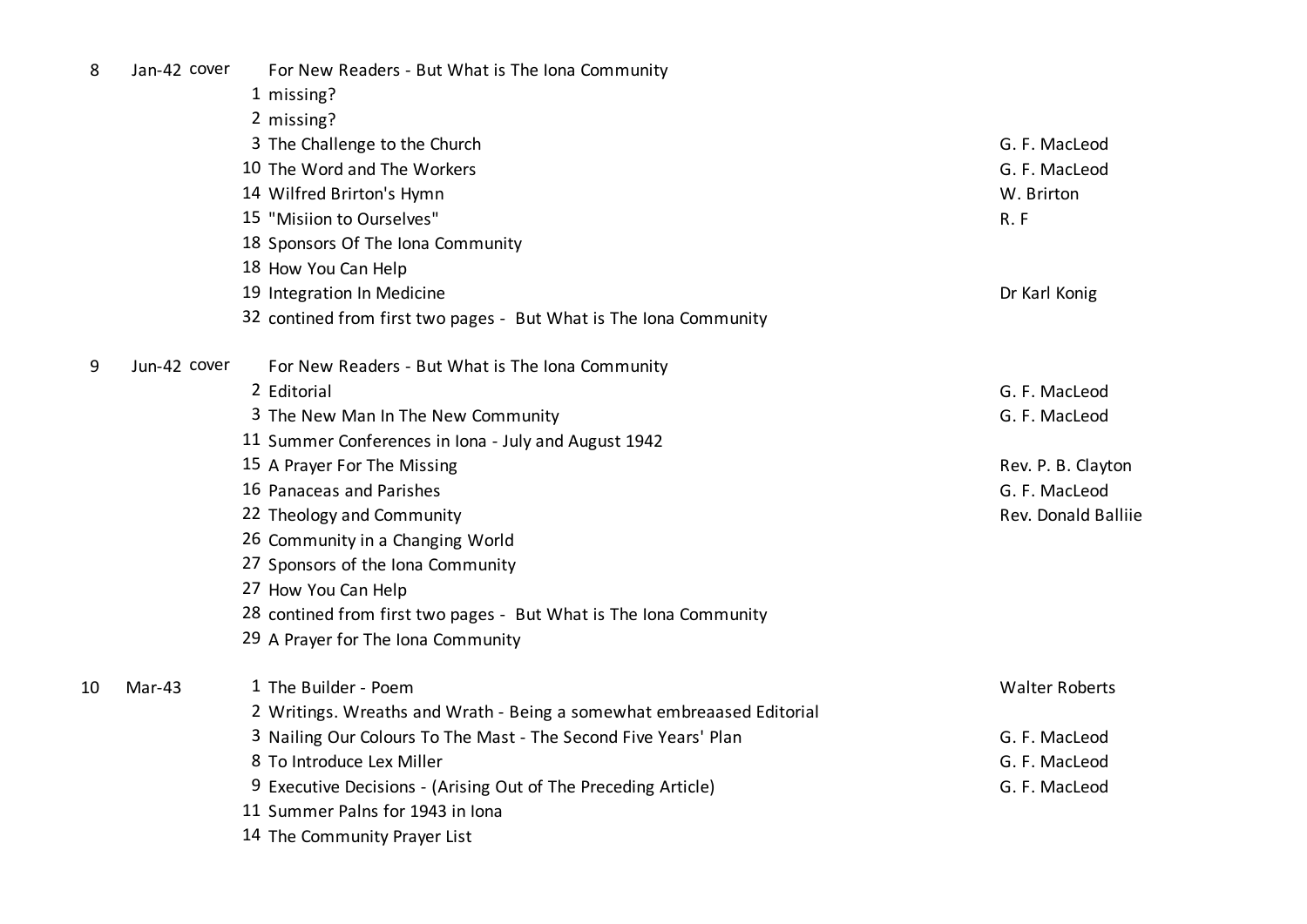| Jan-42 cover<br>For New Readers - But What is The Iona Community |
|------------------------------------------------------------------|
|------------------------------------------------------------------|

- missing?
- missing?

|    |              | 3 The Challenge to the Church                                         | G. F. MacLeod         |
|----|--------------|-----------------------------------------------------------------------|-----------------------|
|    |              | 10 The Word and The Workers                                           | G. F. MacLeod         |
|    |              | 14 Wilfred Brirton's Hymn                                             | W. Brirton            |
|    |              | 15 "Misiion to Ourselves"                                             | R.F                   |
|    |              | 18 Sponsors Of The Iona Community                                     |                       |
|    |              | 18 How You Can Help                                                   |                       |
|    |              | 19 Integration In Medicine                                            | Dr Karl Konig         |
|    |              | 32 contined from first two pages - But What is The Iona Community     |                       |
| 9  | Jun-42 cover | For New Readers - But What is The Iona Community                      |                       |
|    |              | 2 Editorial                                                           | G. F. MacLeod         |
|    |              | 3 The New Man In The New Community                                    | G. F. MacLeod         |
|    |              | 11 Summer Conferences in Iona - July and August 1942                  |                       |
|    |              | 15 A Prayer For The Missing                                           | Rev. P. B. Clayton    |
|    |              | 16 Panaceas and Parishes                                              | G. F. MacLeod         |
|    |              | 22 Theology and Community                                             | Rev. Donald Balliie   |
|    |              | 26 Community in a Changing World                                      |                       |
|    |              | 27 Sponsors of the Iona Community                                     |                       |
|    |              | 27 How You Can Help                                                   |                       |
|    |              | 28 contined from first two pages - But What is The Iona Community     |                       |
|    |              | 29 A Prayer for The Iona Community                                    |                       |
| 10 | Mar-43       | 1 The Builder - Poem                                                  | <b>Walter Roberts</b> |
|    |              | 2 Writings. Wreaths and Wrath - Being a somewhat embreaased Editorial |                       |
|    |              | 3 Nailing Our Colours To The Mast - The Second Five Years' Plan       | G. F. MacLeod         |
|    |              | 8 To Introduce Lex Miller                                             | G. F. MacLeod         |
|    |              | 9 Executive Decisions - (Arising Out of The Preceding Article)        | G. F. MacLeod         |
|    |              | 11 Summer Palns for 1943 in Jona                                      |                       |

The Community Prayer List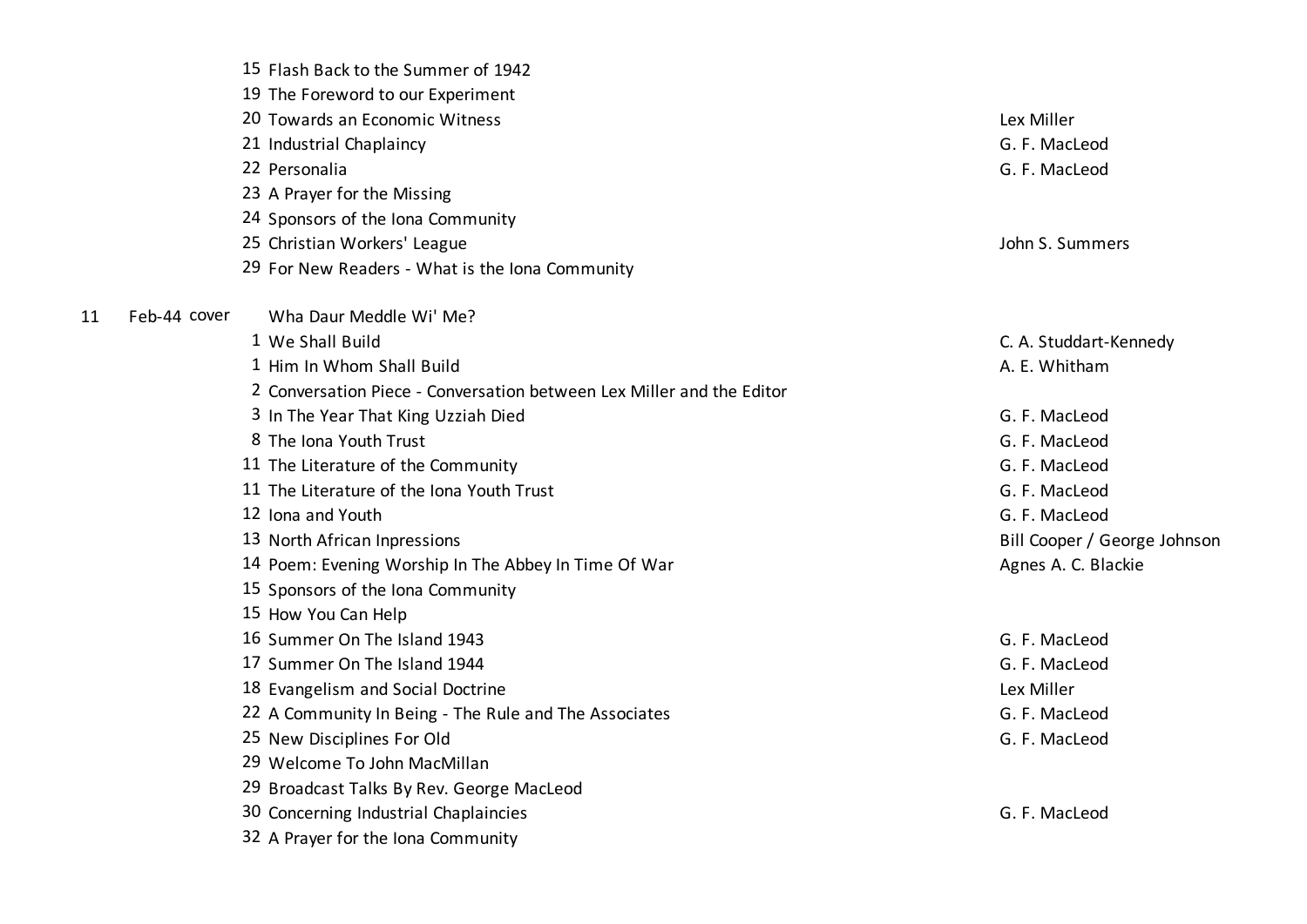|    | 15 Flash Back to the Summer of 1942                                   |                              |
|----|-----------------------------------------------------------------------|------------------------------|
|    | 19 The Foreword to our Experiment                                     |                              |
|    | 20 Towards an Economic Witness                                        | Lex Miller                   |
|    | 21 Industrial Chaplaincy<br>22 Personalia                             | G. F. MacLeod                |
|    |                                                                       | G. F. MacLeod                |
|    | 23 A Prayer for the Missing                                           |                              |
|    | 24 Sponsors of the Iona Community                                     |                              |
|    | 25 Christian Workers' League                                          | John S. Summers              |
|    | 29 For New Readers - What is the Iona Community                       |                              |
| 11 | Feb-44 cover<br>Wha Daur Meddle Wi' Me?                               |                              |
|    | 1 We Shall Build                                                      | C. A. Studdart-Kennedy       |
|    | 1 Him In Whom Shall Build                                             | A. E. Whitham                |
|    | 2 Conversation Piece - Conversation between Lex Miller and the Editor |                              |
|    | 3 In The Year That King Uzziah Died                                   | G. F. MacLeod                |
|    | 8 The Iona Youth Trust                                                | G. F. MacLeod                |
|    | 11 The Literature of the Community                                    | G. F. MacLeod                |
|    | 11 The Literature of the Iona Youth Trust                             | G. F. MacLeod                |
|    | 12 Iona and Youth                                                     | G. F. MacLeod                |
|    | 13 North African Inpressions                                          | Bill Cooper / George Johnson |
|    | 14 Poem: Evening Worship In The Abbey In Time Of War                  | Agnes A. C. Blackie          |
|    | 15 Sponsors of the Iona Community                                     |                              |
|    | 15 How You Can Help                                                   |                              |
|    | 16 Summer On The Island 1943                                          | G. F. MacLeod                |
|    | 17 Summer On The Island 1944                                          | G. F. MacLeod                |
|    | 18 Evangelism and Social Doctrine                                     | Lex Miller                   |
|    | 22 A Community In Being - The Rule and The Associates                 | G. F. MacLeod                |
|    | 25 New Disciplines For Old                                            | G. F. MacLeod                |
|    | 29 Welcome To John MacMillan                                          |                              |
|    | 29 Broadcast Talks By Rev. George MacLeod                             |                              |
|    | 30 Concerning Industrial Chaplaincies                                 | G. F. MacLeod                |
|    | 32 A Prayer for the Iona Community                                    |                              |
|    |                                                                       |                              |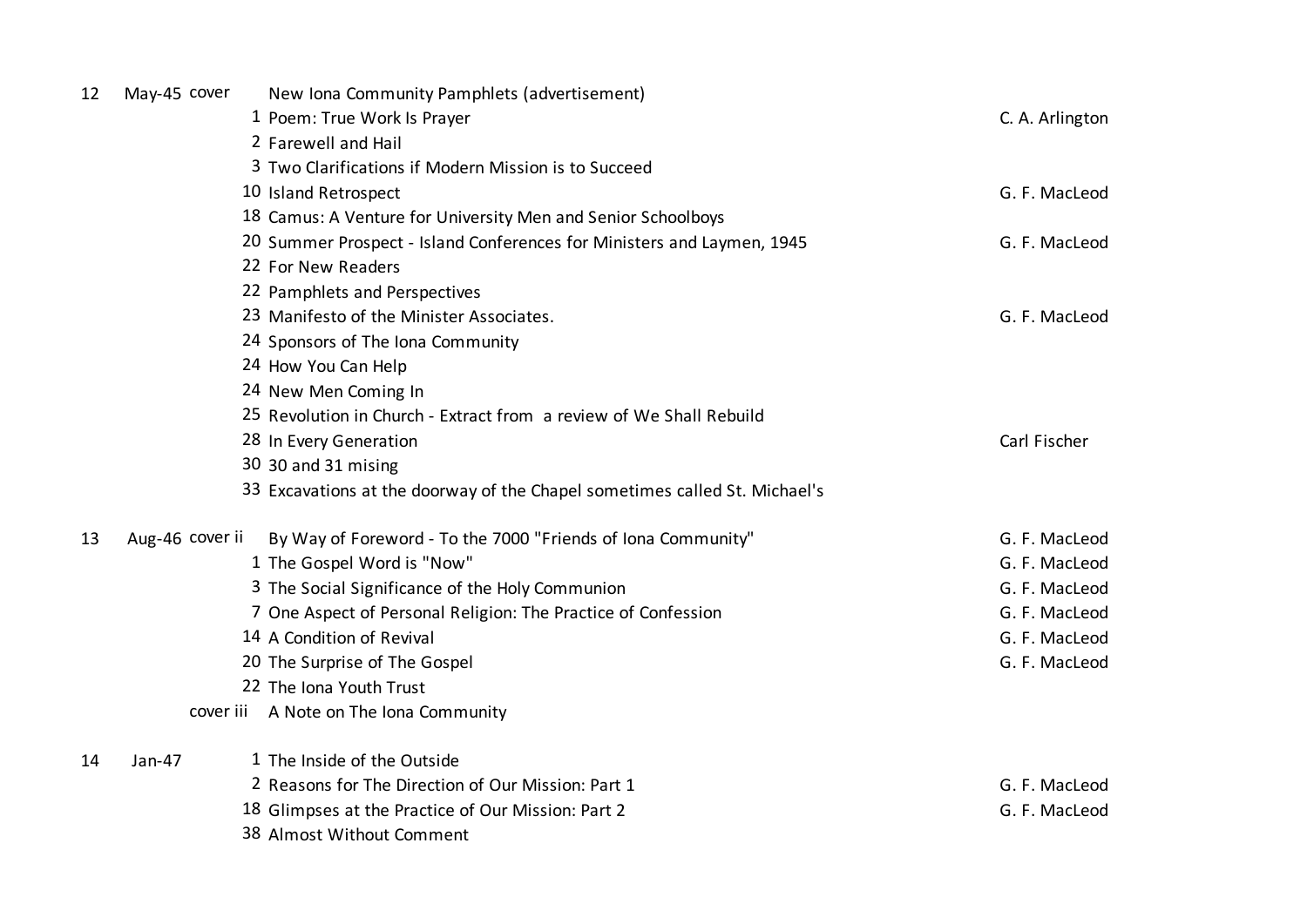| 12 | May-45 cover    | New Iona Community Pamphlets (advertisement)                               |                 |
|----|-----------------|----------------------------------------------------------------------------|-----------------|
|    |                 | 1 Poem: True Work Is Prayer                                                | C. A. Arlington |
|    |                 | 2 Farewell and Hail                                                        |                 |
|    |                 | 3 Two Clarifications if Modern Mission is to Succeed                       |                 |
|    |                 | 10 Island Retrospect                                                       | G. F. MacLeod   |
|    |                 | 18 Camus: A Venture for University Men and Senior Schoolboys               |                 |
|    |                 | 20 Summer Prospect - Island Conferences for Ministers and Laymen, 1945     | G. F. MacLeod   |
|    |                 | 22 For New Readers                                                         |                 |
|    |                 | 22 Pamphlets and Perspectives                                              |                 |
|    |                 | 23 Manifesto of the Minister Associates.                                   | G. F. MacLeod   |
|    |                 | 24 Sponsors of The Iona Community                                          |                 |
|    |                 | 24 How You Can Help                                                        |                 |
|    |                 | 24 New Men Coming In                                                       |                 |
|    |                 | 25 Revolution in Church - Extract from a review of We Shall Rebuild        |                 |
|    |                 | 28 In Every Generation                                                     | Carl Fischer    |
|    |                 | 30 30 and 31 mising                                                        |                 |
|    |                 | 33 Excavations at the doorway of the Chapel sometimes called St. Michael's |                 |
| 13 | Aug-46 cover ii | By Way of Foreword - To the 7000 "Friends of Iona Community"               | G. F. MacLeod   |
|    |                 | 1 The Gospel Word is "Now"                                                 | G. F. MacLeod   |
|    |                 | 3 The Social Significance of the Holy Communion                            | G. F. MacLeod   |
|    |                 | 7 One Aspect of Personal Religion: The Practice of Confession              | G. F. MacLeod   |
|    |                 | 14 A Condition of Revival                                                  | G. F. MacLeod   |
|    |                 | 20 The Surprise of The Gospel                                              | G. F. MacLeod   |
|    |                 | 22 The Iona Youth Trust                                                    |                 |
|    |                 | cover iii A Note on The Iona Community                                     |                 |
| 14 | Jan-47          | 1 The Inside of the Outside                                                |                 |
|    |                 | 2 Reasons for The Direction of Our Mission: Part 1                         | G. F. MacLeod   |
|    |                 | 18 Glimpses at the Practice of Our Mission: Part 2                         | G. F. MacLeod   |
|    |                 | 38 Almost Without Comment                                                  |                 |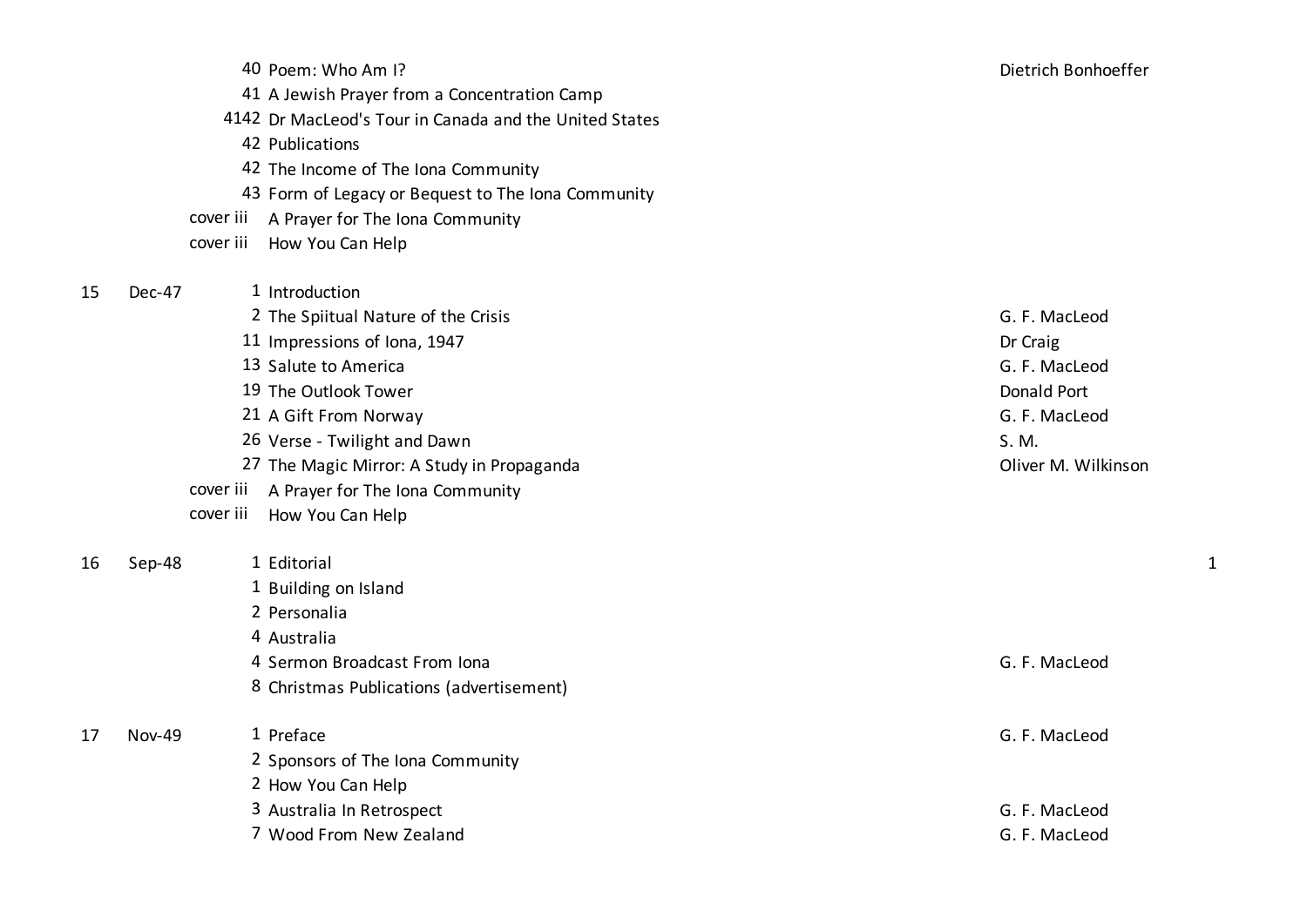|           | 40 Poem: Who Am I?                                     | Dietrich Bonhoeffer |
|-----------|--------------------------------------------------------|---------------------|
|           | 41 A Jewish Prayer from a Concentration Camp           |                     |
|           | 4142 Dr MacLeod's Tour in Canada and the United States |                     |
|           | 42 Publications                                        |                     |
|           | 42 The Income of The Iona Community                    |                     |
|           | 43 Form of Legacy or Bequest to The Iona Community     |                     |
| cover iii | A Prayer for The Iona Community                        |                     |
| cover iii | How You Can Help                                       |                     |
|           | 1 Introduction                                         |                     |
|           | 2 The Spiitual Nature of the Crisis                    | G. F. MacLeod       |
|           | 11 Impressions of Iona, 1947                           | Dr Craig            |
|           | 13 Salute to America                                   | G. F. MacLeod       |
|           | 19 The Outlook Tower                                   | Donald Port         |
|           | 21 A Gift From Norway                                  | G. F. MacLeod       |
|           | 26 Verse - Twilight and Dawn                           | S. M.               |
|           | 27 The Magic Mirror: A Study in Propaganda             | Oliver M. Wilkinson |

- cover iii A Prayer for The Iona Community
- cover iii How You Can Help

16 Sep-48 1 Editorial 1 Building on Island Personalia Australia

15 Dec-47 1 Introduction

4 Sermon Broadcast From Iona G. F. MacLeod 8 Christmas Publications (advertisement)

 Nov-49 1 Preface G. F. MacLeod Sponsors of The Iona Community How You Can Help 3 Australia In Retrospect **G. F. MacLeod** Wood From New Zealand G. F. MacLeod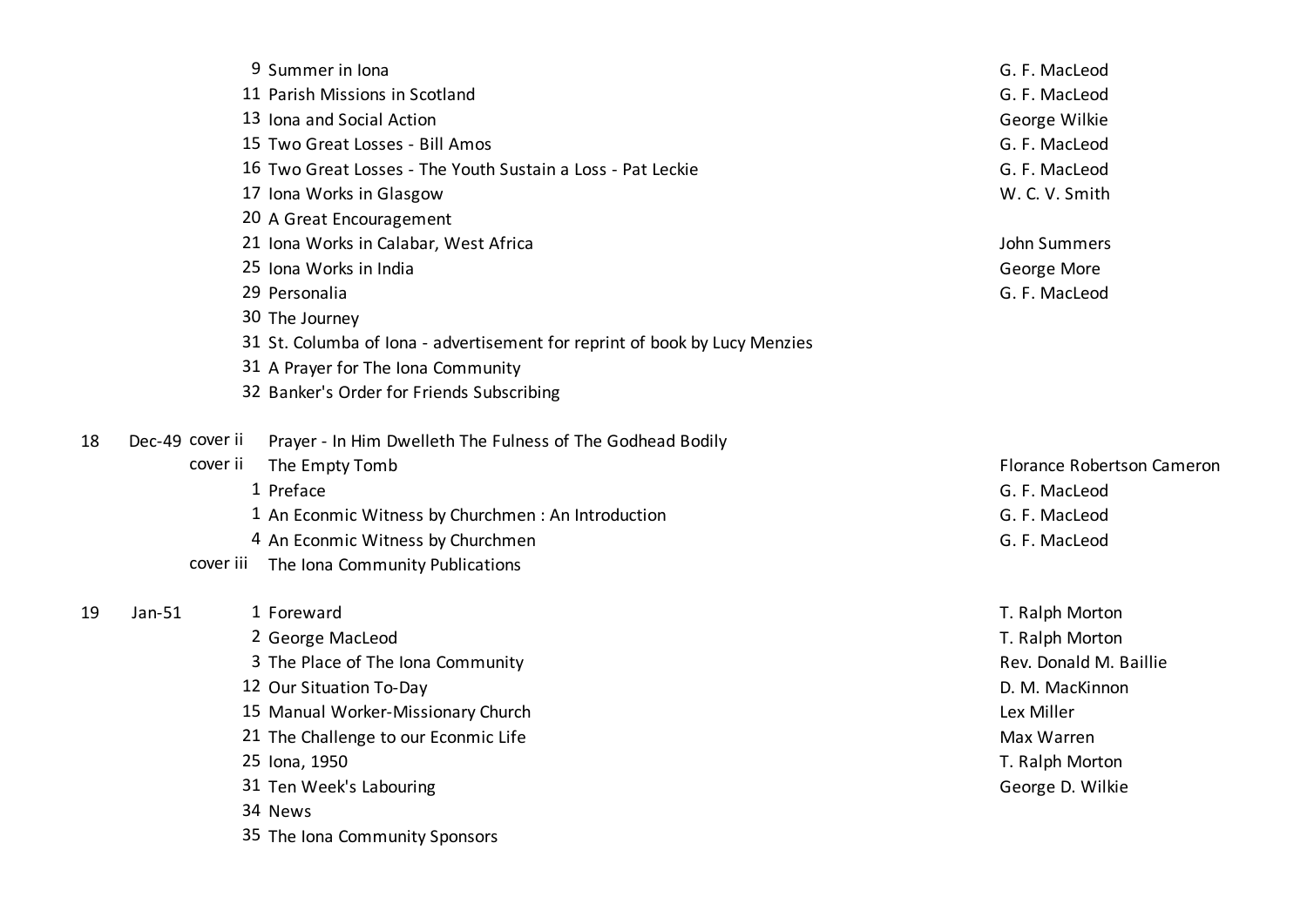|    | 9 Summer in Iona                                                              | G. F. MacLeod              |
|----|-------------------------------------------------------------------------------|----------------------------|
|    | 11 Parish Missions in Scotland                                                | G. F. MacLeod              |
|    | 13 Iona and Social Action                                                     | George Wilkie              |
|    | 15 Two Great Losses - Bill Amos                                               | G. F. MacLeod              |
|    | 16 Two Great Losses - The Youth Sustain a Loss - Pat Leckie                   | G. F. MacLeod              |
|    | 17 Iona Works in Glasgow                                                      | W. C. V. Smith             |
|    | 20 A Great Encouragement                                                      |                            |
|    | 21 Iona Works in Calabar, West Africa                                         | John Summers               |
|    | 25 Iona Works in India                                                        | George More                |
|    | 29 Personalia                                                                 | G. F. MacLeod              |
|    | 30 The Journey                                                                |                            |
|    | 31 St. Columba of Iona - advertisement for reprint of book by Lucy Menzies    |                            |
|    | 31 A Prayer for The Iona Community                                            |                            |
|    | 32 Banker's Order for Friends Subscribing                                     |                            |
| 18 | Dec-49 cover ii<br>Prayer - In Him Dwelleth The Fulness of The Godhead Bodily |                            |
|    | cover ii<br>The Empty Tomb                                                    | Florance Robertson Cameron |
|    | 1 Preface                                                                     | G. F. MacLeod              |
|    | 1 An Econmic Witness by Churchmen : An Introduction                           | G. F. MacLeod              |
|    | 4 An Econmic Witness by Churchmen                                             | G. F. MacLeod              |
|    | cover iii The Iona Community Publications                                     |                            |
| 19 | $Jan-51$<br>1 Foreward                                                        | T. Ralph Morton            |
|    | 2 George MacLeod                                                              | T. Ralph Morton            |
|    | 3 The Place of The Iona Community                                             | Rev. Donald M. Baillie     |
|    | 12 Our Situation To-Day                                                       | D. M. MacKinnon            |
|    | 15 Manual Worker-Missionary Church                                            | Lex Miller                 |
|    | 21 The Challenge to our Econmic Life                                          | Max Warren                 |
|    | 25 Iona, 1950                                                                 | T. Ralph Morton            |
|    | 31 Ten Week's Labouring                                                       | George D. Wilkie           |
|    | 34 News                                                                       |                            |
|    | 35 The Iona Community Sponsors                                                |                            |
|    |                                                                               |                            |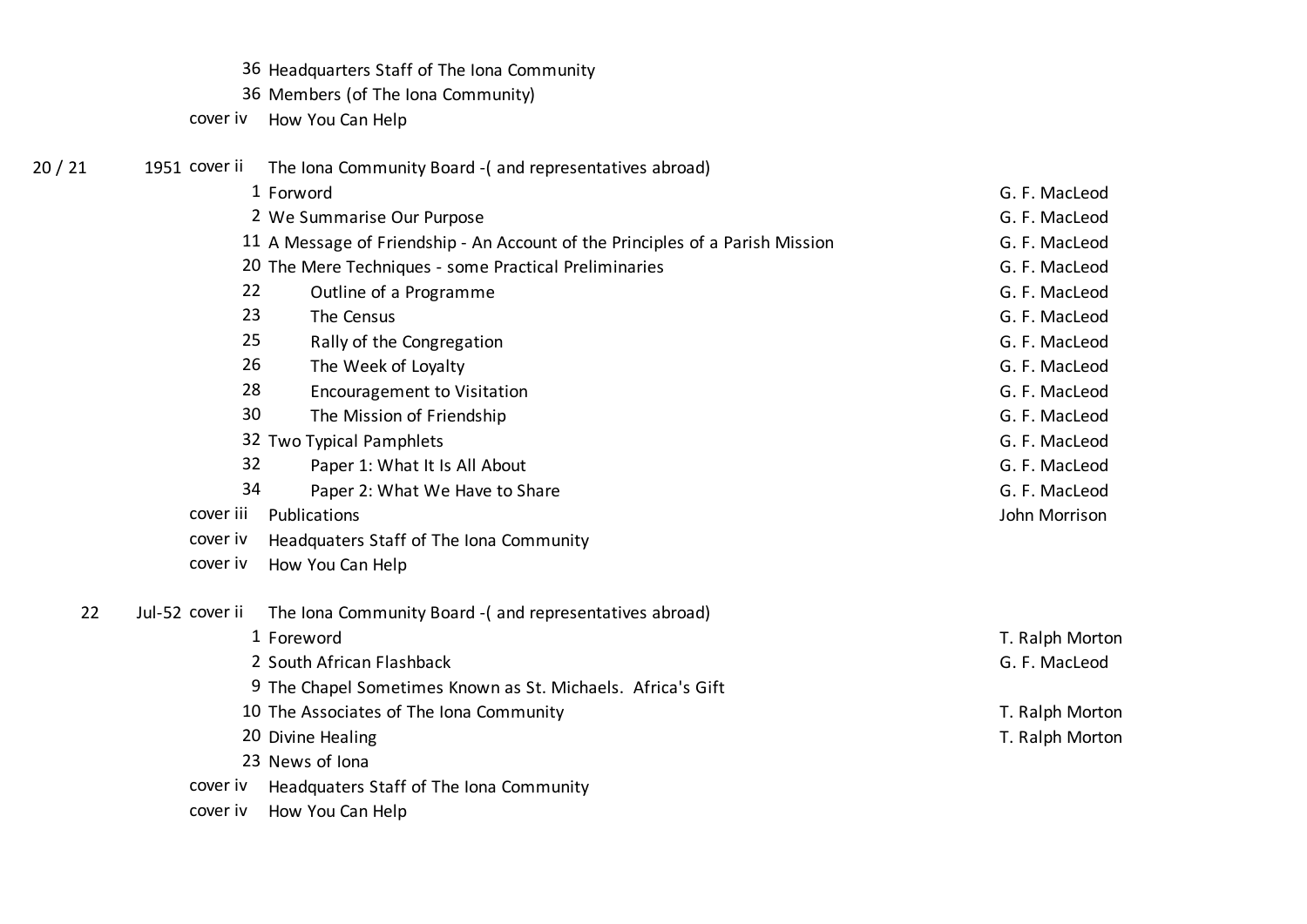- 36 Headquarters Staff of The Iona Community
- 36 Members (of The Iona Community)
- cover iv How You Can Help

| 20 / 21 | 1951 cover ii   | The Iona Community Board - (and representatives abroad)                       |                 |
|---------|-----------------|-------------------------------------------------------------------------------|-----------------|
|         |                 | 1 Forword                                                                     | G. F. MacLeod   |
|         |                 | 2 We Summarise Our Purpose                                                    | G. F. MacLeod   |
|         |                 | 11 A Message of Friendship - An Account of the Principles of a Parish Mission | G. F. MacLeod   |
|         |                 | 20 The Mere Techniques - some Practical Preliminaries                         | G. F. MacLeod   |
|         | 22              | Outline of a Programme                                                        | G. F. MacLeod   |
|         | 23              | The Census                                                                    | G. F. MacLeod   |
|         | 25              | Rally of the Congregation                                                     | G. F. MacLeod   |
|         | 26              | The Week of Loyalty                                                           | G. F. MacLeod   |
|         | 28              | <b>Encouragement to Visitation</b>                                            | G. F. MacLeod   |
|         | 30              | The Mission of Friendship                                                     | G. F. MacLeod   |
|         |                 | 32 Two Typical Pamphlets                                                      | G. F. MacLeod   |
|         | 32              | Paper 1: What It Is All About                                                 | G. F. MacLeod   |
|         | 34              | Paper 2: What We Have to Share                                                | G. F. MacLeod   |
|         | cover iii       | Publications                                                                  | John Morrison   |
|         | cover iv        | Headquaters Staff of The Iona Community                                       |                 |
|         | cover iv        | How You Can Help                                                              |                 |
| 22      | Jul-52 cover ii | The Iona Community Board - (and representatives abroad)                       |                 |
|         |                 | 1 Foreword                                                                    | T. Ralph Morton |
|         |                 | 2 South African Flashback                                                     | G. F. MacLeod   |
|         |                 | 9 The Chapel Sometimes Known as St. Michaels. Africa's Gift                   |                 |
|         |                 | 10 The Associates of The Iona Community                                       | T. Ralph Morton |
|         |                 | 20 Divine Healing                                                             | T. Ralph Morton |
|         |                 | 23 News of Iona                                                               |                 |
|         | cover iv        | Headquaters Staff of The Iona Community                                       |                 |
|         | cover iv        | How You Can Help                                                              |                 |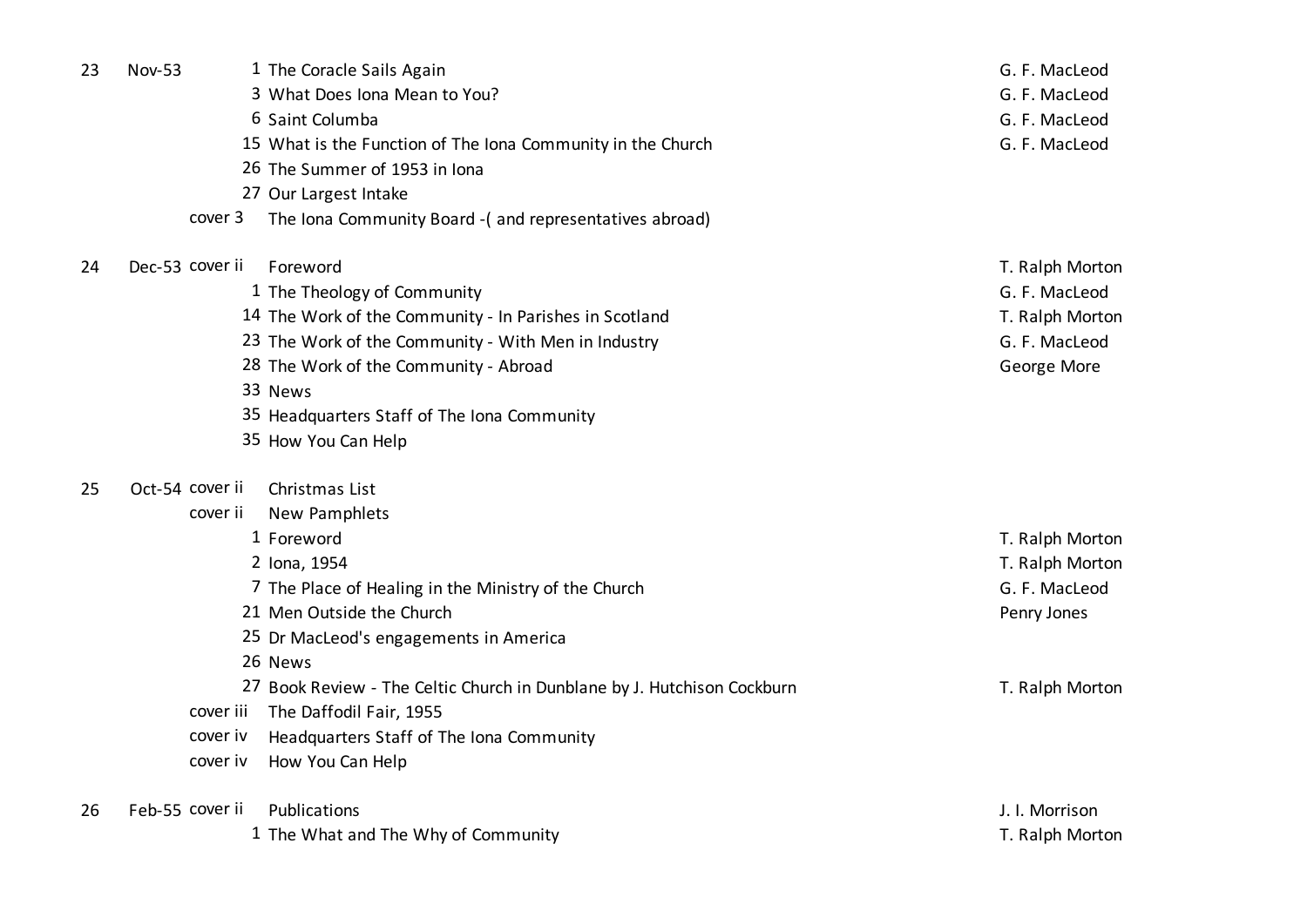| 23 | <b>Nov-53</b> |                 | 1 The Coracle Sails Again                                               | G. F. MacLeod   |
|----|---------------|-----------------|-------------------------------------------------------------------------|-----------------|
|    |               |                 | 3 What Does Iona Mean to You?                                           | G. F. MacLeod   |
|    |               |                 | 6 Saint Columba                                                         | G. F. MacLeod   |
|    |               |                 | 15 What is the Function of The Iona Community in the Church             | G. F. MacLeod   |
|    |               |                 | 26 The Summer of 1953 in Iona                                           |                 |
|    |               |                 | 27 Our Largest Intake                                                   |                 |
|    |               | cover 3         | The Iona Community Board - (and representatives abroad)                 |                 |
| 24 |               | Dec-53 cover ii | Foreword                                                                | T. Ralph Morton |
|    |               |                 | 1 The Theology of Community                                             | G. F. MacLeod   |
|    |               |                 | 14 The Work of the Community - In Parishes in Scotland                  | T. Ralph Morton |
|    |               |                 | 23 The Work of the Community - With Men in Industry                     | G. F. MacLeod   |
|    |               |                 | 28 The Work of the Community - Abroad                                   | George More     |
|    |               |                 | 33 News                                                                 |                 |
|    |               |                 | 35 Headquarters Staff of The Iona Community                             |                 |
|    |               |                 | 35 How You Can Help                                                     |                 |
| 25 |               | Oct-54 cover ii | Christmas List                                                          |                 |
|    |               | cover ii        | New Pamphlets                                                           |                 |
|    |               |                 | 1 Foreword                                                              | T. Ralph Morton |
|    |               |                 | 2 Iona, 1954                                                            | T. Ralph Morton |
|    |               |                 | 7 The Place of Healing in the Ministry of the Church                    | G. F. MacLeod   |
|    |               |                 | 21 Men Outside the Church                                               | Penry Jones     |
|    |               |                 | 25 Dr MacLeod's engagements in America                                  |                 |
|    |               |                 | 26 News                                                                 |                 |
|    |               |                 | 27 Book Review - The Celtic Church in Dunblane by J. Hutchison Cockburn | T. Ralph Morton |
|    |               | cover iii       | The Daffodil Fair, 1955                                                 |                 |
|    |               | cover iv        | Headquarters Staff of The Iona Community                                |                 |
|    |               | cover iv        | How You Can Help                                                        |                 |
| 26 |               | Feb-55 cover ii | Publications                                                            | J. I. Morrison  |
|    |               |                 | 1 The What and The Why of Community                                     | T. Ralph Morton |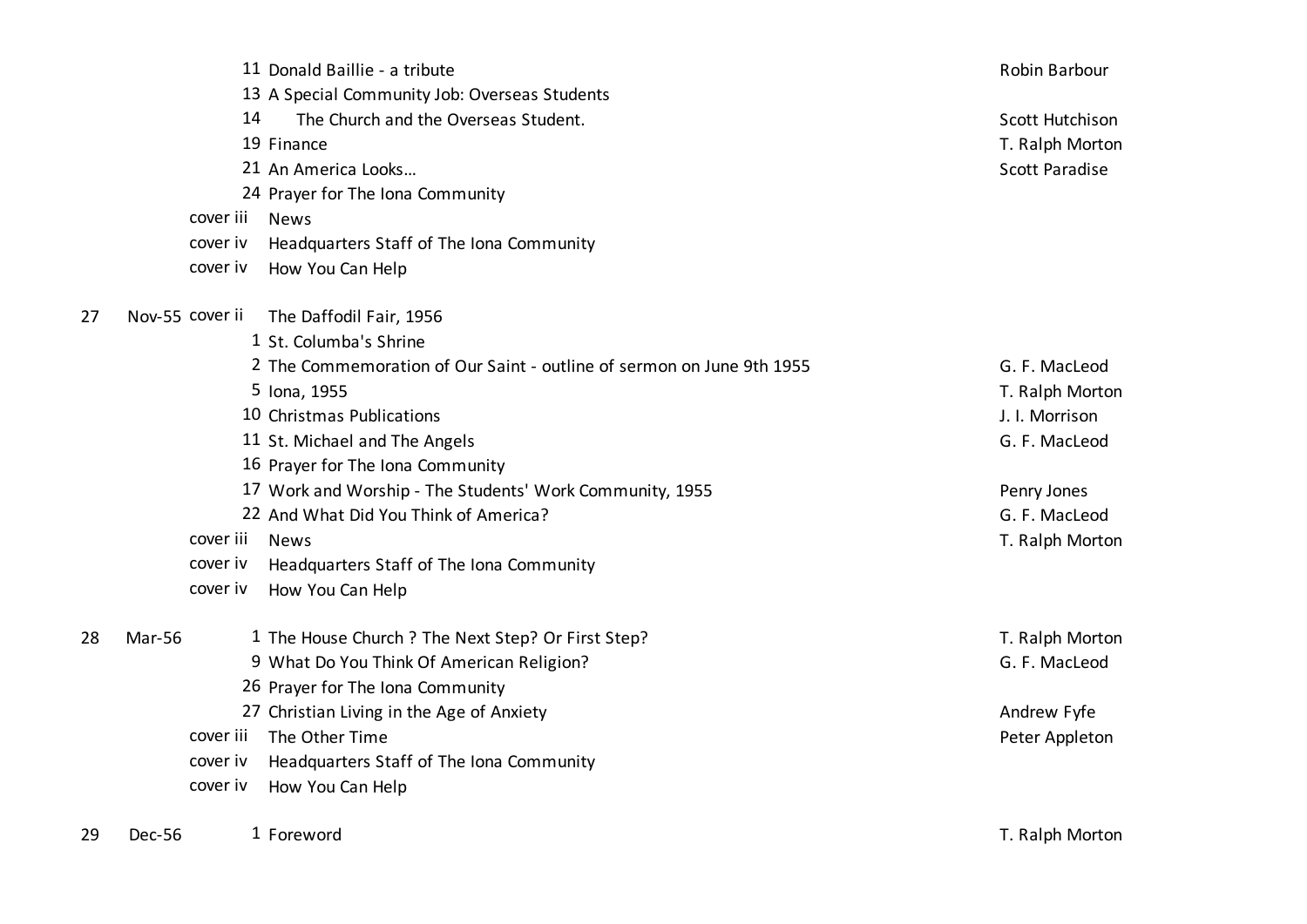|    |               |                 | 11 Donald Baillie - a tribute                                         | Robin Barbour         |
|----|---------------|-----------------|-----------------------------------------------------------------------|-----------------------|
|    |               |                 | 13 A Special Community Job: Overseas Students                         |                       |
|    |               | 14              | The Church and the Overseas Student.                                  | Scott Hutchison       |
|    |               |                 | 19 Finance                                                            | T. Ralph Morton       |
|    |               |                 | 21 An America Looks                                                   | <b>Scott Paradise</b> |
|    |               |                 | 24 Prayer for The Iona Community                                      |                       |
|    |               | cover iii       | <b>News</b>                                                           |                       |
|    |               | cover iv        | Headquarters Staff of The Iona Community                              |                       |
|    |               | cover iv        | How You Can Help                                                      |                       |
| 27 |               | Nov-55 cover ii | The Daffodil Fair, 1956                                               |                       |
|    |               |                 | 1 St. Columba's Shrine                                                |                       |
|    |               |                 | 2 The Commemoration of Our Saint - outline of sermon on June 9th 1955 | G. F. MacLeod         |
|    |               |                 | 5 Iona, 1955                                                          | T. Ralph Morton       |
|    |               |                 | 10 Christmas Publications                                             | J. I. Morrison        |
|    |               |                 | 11 St. Michael and The Angels                                         | G. F. MacLeod         |
|    |               |                 | 16 Prayer for The Iona Community                                      |                       |
|    |               |                 | 17 Work and Worship - The Students' Work Community, 1955              | Penry Jones           |
|    |               |                 | 22 And What Did You Think of America?                                 | G. F. MacLeod         |
|    |               | cover iii       | <b>News</b>                                                           | T. Ralph Morton       |
|    |               | cover iv        | Headquarters Staff of The Iona Community                              |                       |
|    |               | cover iv        | How You Can Help                                                      |                       |
| 28 | <b>Mar-56</b> |                 | 1 The House Church ? The Next Step? Or First Step?                    | T. Ralph Morton       |
|    |               |                 | 9 What Do You Think Of American Religion?                             | G. F. MacLeod         |
|    |               |                 | 26 Prayer for The Iona Community                                      |                       |
|    |               |                 | 27 Christian Living in the Age of Anxiety                             | Andrew Fyfe           |
|    |               | cover iii       | The Other Time                                                        | Peter Appleton        |
|    |               | cover iv        | Headquarters Staff of The Iona Community                              |                       |
|    |               | cover iv        | How You Can Help                                                      |                       |
| 29 | Dec-56        |                 | 1 Foreword                                                            | T. Ralph Morton       |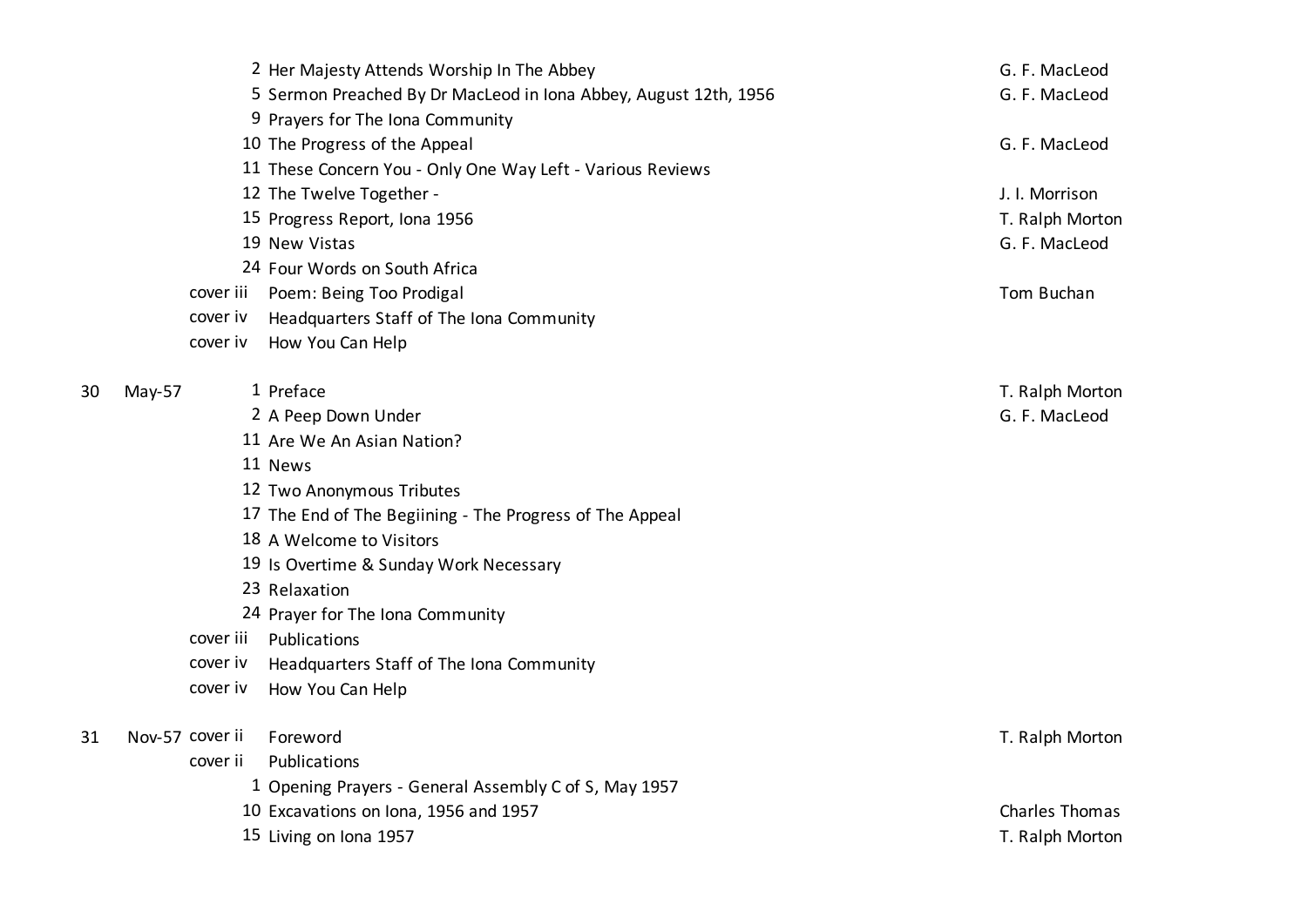|    |          |                 | 2 Her Majesty Attends Worship In The Abbey                       | G. F. MacLeod   |
|----|----------|-----------------|------------------------------------------------------------------|-----------------|
|    |          |                 | 5 Sermon Preached By Dr MacLeod in Iona Abbey, August 12th, 1956 | G. F. MacLeod   |
|    |          |                 | 9 Prayers for The Iona Community                                 |                 |
|    |          |                 | 10 The Progress of the Appeal                                    | G. F. MacLeod   |
|    |          |                 | 11 These Concern You - Only One Way Left - Various Reviews       |                 |
|    |          |                 | 12 The Twelve Together -                                         | J. I. Morrison  |
|    |          |                 | 15 Progress Report, Iona 1956                                    | T. Ralph Morton |
|    |          |                 | 19 New Vistas                                                    | G. F. MacLeod   |
|    |          |                 | 24 Four Words on South Africa                                    |                 |
|    |          | cover iii       | Poem: Being Too Prodigal                                         | Tom Buchan      |
|    |          | cover iv        | Headquarters Staff of The Iona Community                         |                 |
|    |          | cover iv        | How You Can Help                                                 |                 |
|    |          |                 |                                                                  |                 |
| 30 | $May-57$ |                 | 1 Preface                                                        | T. Ralph Morton |
|    |          |                 | 2 A Peep Down Under                                              | G. F. MacLeod   |
|    |          |                 | 11 Are We An Asian Nation?                                       |                 |
|    |          |                 | 11 News                                                          |                 |
|    |          |                 | 12 Two Anonymous Tributes                                        |                 |
|    |          |                 | 17 The End of The Begiining - The Progress of The Appeal         |                 |
|    |          |                 | 18 A Welcome to Visitors                                         |                 |
|    |          |                 | 19 Is Overtime & Sunday Work Necessary                           |                 |
|    |          |                 | 23 Relaxation                                                    |                 |
|    |          |                 | 24 Prayer for The Iona Community                                 |                 |
|    |          | cover iii       | Publications                                                     |                 |
|    |          | cover iv        | Headquarters Staff of The Iona Community                         |                 |
|    |          | cover iv        | How You Can Help                                                 |                 |
|    |          |                 |                                                                  |                 |
| 31 |          | Nov-57 cover ii | Foreword                                                         | T. Ralph Morton |
|    |          | cover ii        | Publications                                                     |                 |
|    |          |                 | 1 Opening Prayers - General Assembly C of S, May 1957            |                 |
|    |          |                 | 10 Excavations on Iona, 1956 and 1957                            | Charles Thomas  |
|    |          |                 | 15 Living on Iona 1957                                           | T. Ralph Morton |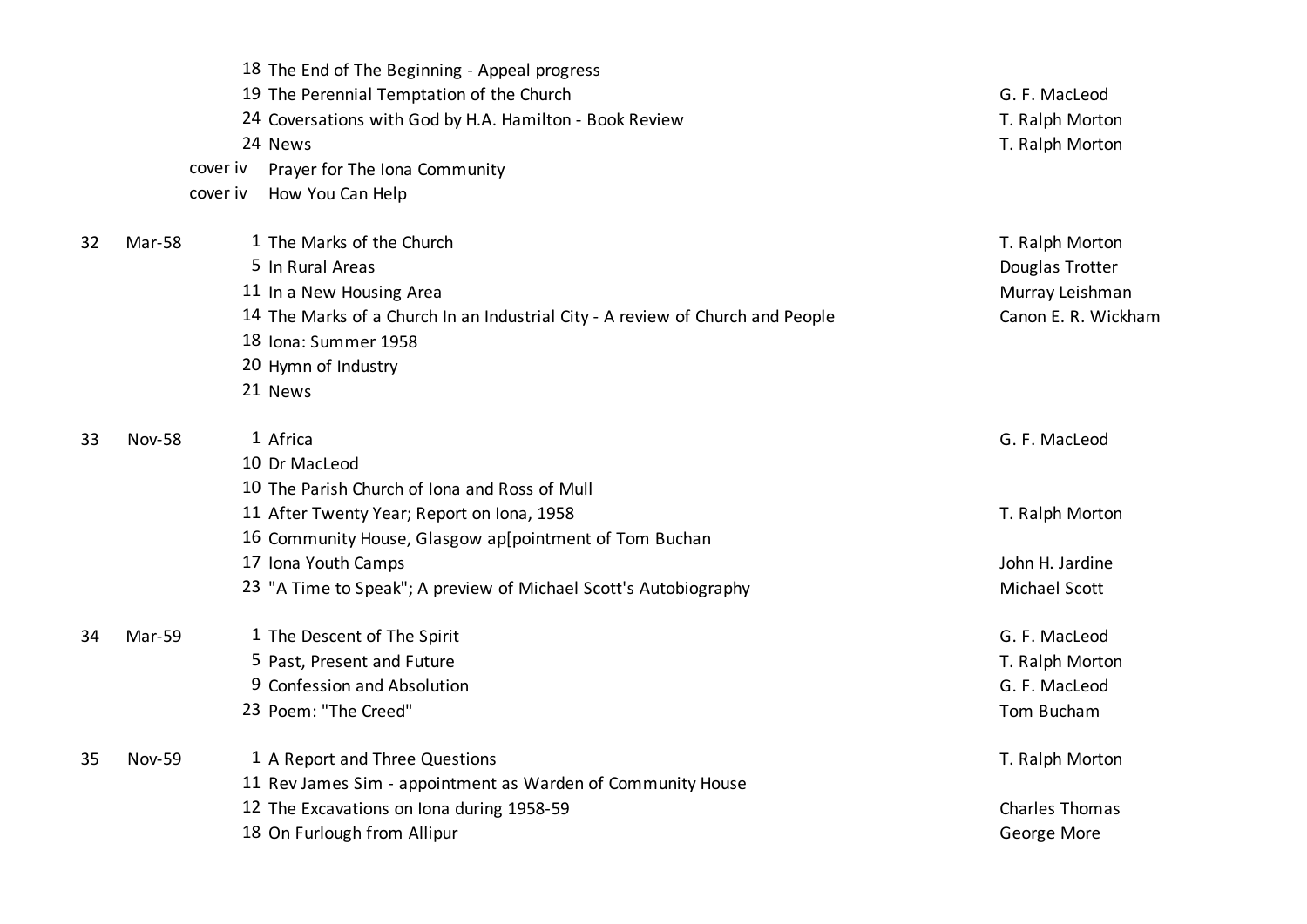|    |               | 18 The End of The Beginning - Appeal progress                                  |                       |
|----|---------------|--------------------------------------------------------------------------------|-----------------------|
|    |               | 19 The Perennial Temptation of the Church                                      | G. F. MacLeod         |
|    |               | 24 Coversations with God by H.A. Hamilton - Book Review                        | T. Ralph Morton       |
|    |               | 24 News                                                                        | T. Ralph Morton       |
|    | cover iv      | Prayer for The Iona Community                                                  |                       |
|    | cover iv      | How You Can Help                                                               |                       |
| 32 | Mar-58        | 1 The Marks of the Church                                                      | T. Ralph Morton       |
|    |               | 5 In Rural Areas                                                               | Douglas Trotter       |
|    |               | 11 In a New Housing Area                                                       | Murray Leishman       |
|    |               | 14 The Marks of a Church In an Industrial City - A review of Church and People | Canon E. R. Wickham   |
|    |               | 18 Iona: Summer 1958                                                           |                       |
|    |               | 20 Hymn of Industry                                                            |                       |
|    |               | 21 News                                                                        |                       |
| 33 | <b>Nov-58</b> | 1 Africa                                                                       | G. F. MacLeod         |
|    |               | 10 Dr MacLeod                                                                  |                       |
|    |               | 10 The Parish Church of Iona and Ross of Mull                                  |                       |
|    |               | 11 After Twenty Year; Report on Iona, 1958                                     | T. Ralph Morton       |
|    |               | 16 Community House, Glasgow ap[pointment of Tom Buchan                         |                       |
|    |               | 17 Iona Youth Camps                                                            | John H. Jardine       |
|    |               | 23 "A Time to Speak"; A preview of Michael Scott's Autobiography               | Michael Scott         |
| 34 | Mar-59        | 1 The Descent of The Spirit                                                    | G. F. MacLeod         |
|    |               | 5 Past, Present and Future                                                     | T. Ralph Morton       |
|    |               | 9 Confession and Absolution                                                    | G. F. MacLeod         |
|    |               | 23 Poem: "The Creed"                                                           | Tom Bucham            |
| 35 | <b>Nov-59</b> | 1 A Report and Three Questions                                                 | T. Ralph Morton       |
|    |               | 11 Rev James Sim - appointment as Warden of Community House                    |                       |
|    |               | 12 The Excavations on Iona during 1958-59                                      | <b>Charles Thomas</b> |
|    |               | 18 On Furlough from Allipur                                                    | George More           |
|    |               |                                                                                |                       |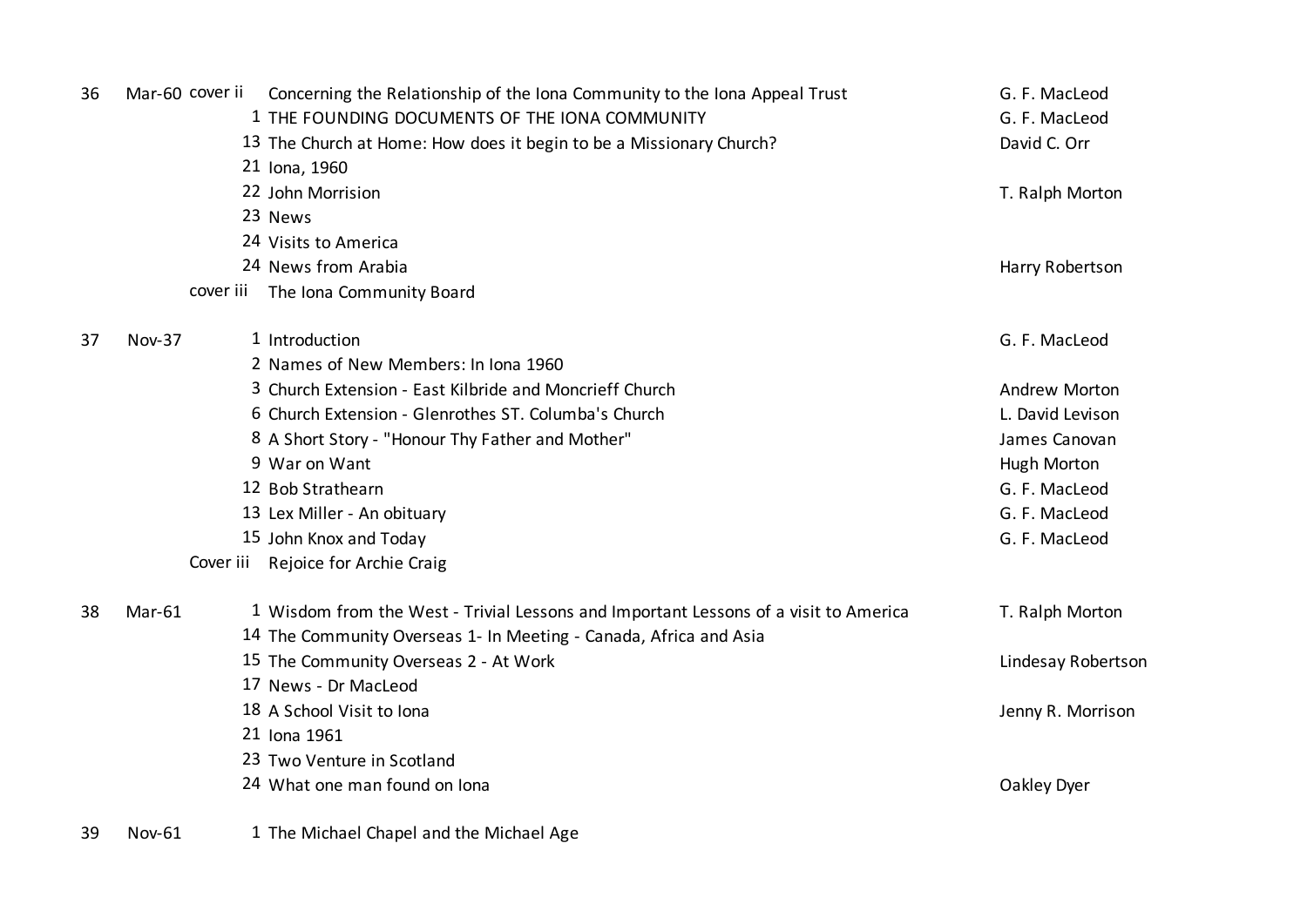| 36 | Mar-60 cover ii | Concerning the Relationship of the Iona Community to the Iona Appeal Trust<br>1 THE FOUNDING DOCUMENTS OF THE IONA COMMUNITY | G. F. MacLeod<br>G. F. MacLeod |
|----|-----------------|------------------------------------------------------------------------------------------------------------------------------|--------------------------------|
|    |                 | 13 The Church at Home: How does it begin to be a Missionary Church?                                                          | David C. Orr                   |
|    |                 | 21 Iona, 1960                                                                                                                |                                |
|    |                 | 22 John Morrision                                                                                                            | T. Ralph Morton                |
|    |                 | 23 News                                                                                                                      |                                |
|    |                 | 24 Visits to America                                                                                                         |                                |
|    |                 | 24 News from Arabia                                                                                                          | Harry Robertson                |
|    |                 | cover iii The Iona Community Board                                                                                           |                                |
| 37 | <b>Nov-37</b>   | 1 Introduction                                                                                                               | G. F. MacLeod                  |
|    |                 | 2 Names of New Members: In Iona 1960                                                                                         |                                |
|    |                 | 3 Church Extension - East Kilbride and Moncrieff Church                                                                      | <b>Andrew Morton</b>           |
|    |                 | 6 Church Extension - Glenrothes ST. Columba's Church                                                                         | L. David Levison               |
|    |                 | 8 A Short Story - "Honour Thy Father and Mother"                                                                             | James Canovan                  |
|    |                 | 9 War on Want                                                                                                                | Hugh Morton                    |
|    |                 | 12 Bob Strathearn                                                                                                            | G. F. MacLeod                  |
|    |                 | 13 Lex Miller - An obituary                                                                                                  | G. F. MacLeod                  |
|    |                 | 15 John Knox and Today                                                                                                       | G. F. MacLeod                  |
|    |                 | Cover iii Rejoice for Archie Craig                                                                                           |                                |
| 38 | Mar-61          | 1 Wisdom from the West - Trivial Lessons and Important Lessons of a visit to America                                         | T. Ralph Morton                |
|    |                 | 14 The Community Overseas 1- In Meeting - Canada, Africa and Asia                                                            |                                |
|    |                 | 15 The Community Overseas 2 - At Work                                                                                        | Lindesay Robertson             |
|    |                 | 17 News - Dr MacLeod                                                                                                         |                                |
|    |                 | 18 A School Visit to Iona                                                                                                    | Jenny R. Morrison              |
|    |                 | 21 Iona 1961                                                                                                                 |                                |
|    |                 | 23 Two Venture in Scotland                                                                                                   |                                |
|    |                 | 24 What one man found on Jona                                                                                                | Oakley Dyer                    |
|    |                 |                                                                                                                              |                                |

39 Nov-61 1 The Michael Chapel and the Michael Age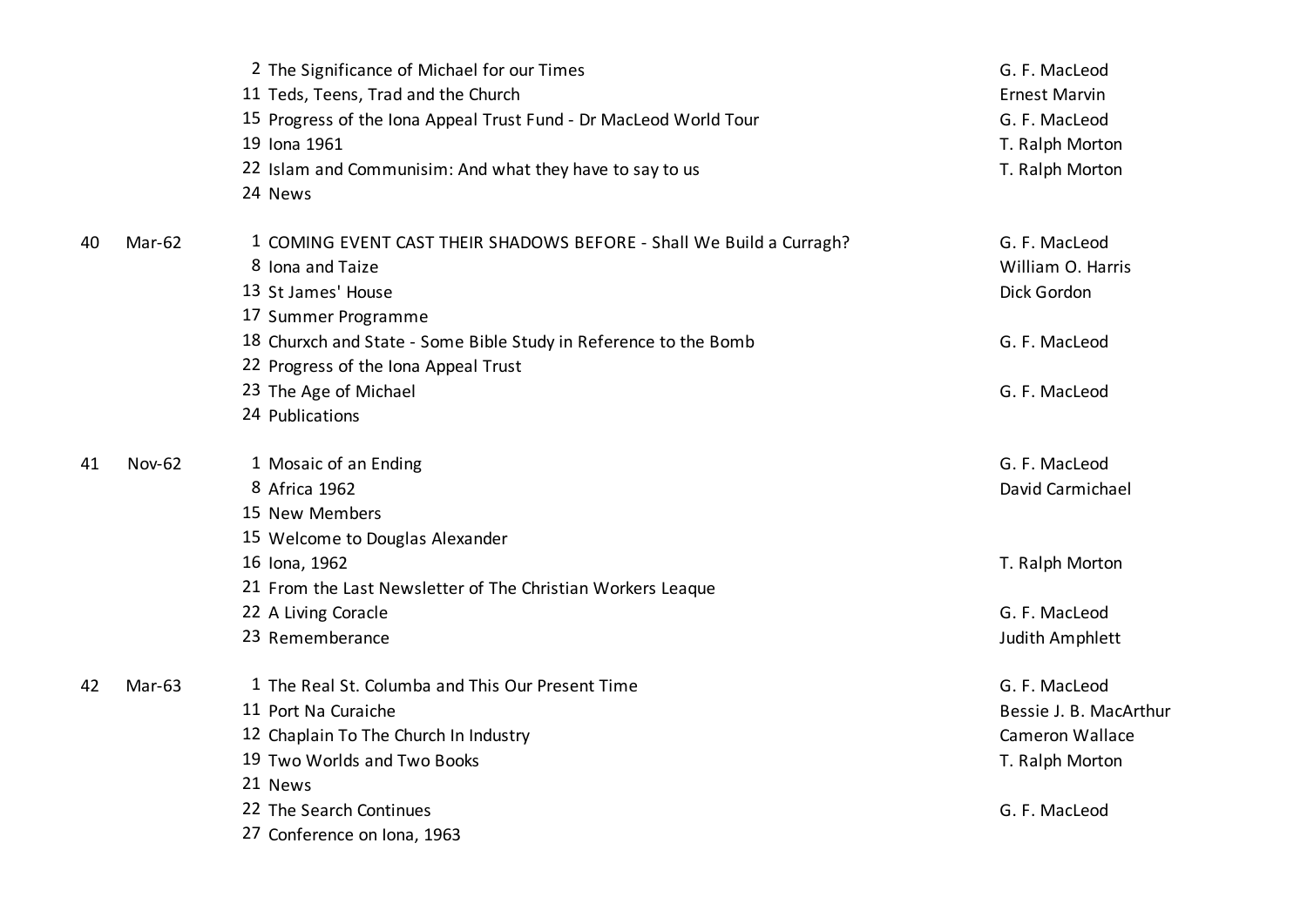|    |               | 2 The Significance of Michael for our Times                          | G. F. MacLeod          |
|----|---------------|----------------------------------------------------------------------|------------------------|
|    |               | 11 Teds, Teens, Trad and the Church                                  | <b>Ernest Marvin</b>   |
|    |               | 15 Progress of the Iona Appeal Trust Fund - Dr MacLeod World Tour    | G. F. MacLeod          |
|    |               | 19 Iona 1961                                                         | T. Ralph Morton        |
|    |               | 22 Islam and Communisim: And what they have to say to us             | T. Ralph Morton        |
|    |               | 24 News                                                              |                        |
| 40 | Mar-62        | 1 COMING EVENT CAST THEIR SHADOWS BEFORE - Shall We Build a Curragh? | G. F. MacLeod          |
|    |               | 8 Iona and Taize                                                     | William O. Harris      |
|    |               | 13 St James' House                                                   | Dick Gordon            |
|    |               | 17 Summer Programme                                                  |                        |
|    |               | 18 Churxch and State - Some Bible Study in Reference to the Bomb     | G. F. MacLeod          |
|    |               | 22 Progress of the Iona Appeal Trust                                 |                        |
|    |               | 23 The Age of Michael                                                | G. F. MacLeod          |
|    |               | 24 Publications                                                      |                        |
| 41 | <b>Nov-62</b> | 1 Mosaic of an Ending                                                | G. F. MacLeod          |
|    |               | 8 Africa 1962                                                        | David Carmichael       |
|    |               | 15 New Members                                                       |                        |
|    |               | 15 Welcome to Douglas Alexander                                      |                        |
|    |               | 16 Iona, 1962                                                        | T. Ralph Morton        |
|    |               | 21 From the Last Newsletter of The Christian Workers League          |                        |
|    |               | 22 A Living Coracle                                                  | G. F. MacLeod          |
|    |               | 23 Rememberance                                                      | Judith Amphlett        |
| 42 | Mar-63        | 1 The Real St. Columba and This Our Present Time                     | G. F. MacLeod          |
|    |               | 11 Port Na Curaiche                                                  | Bessie J. B. MacArthur |
|    |               | 12 Chaplain To The Church In Industry                                | <b>Cameron Wallace</b> |
|    |               | 19 Two Worlds and Two Books                                          | T. Ralph Morton        |
|    |               | 21 News                                                              |                        |
|    |               | 22 The Search Continues                                              | G. F. MacLeod          |
|    |               | 27 Conference on Iona, 1963                                          |                        |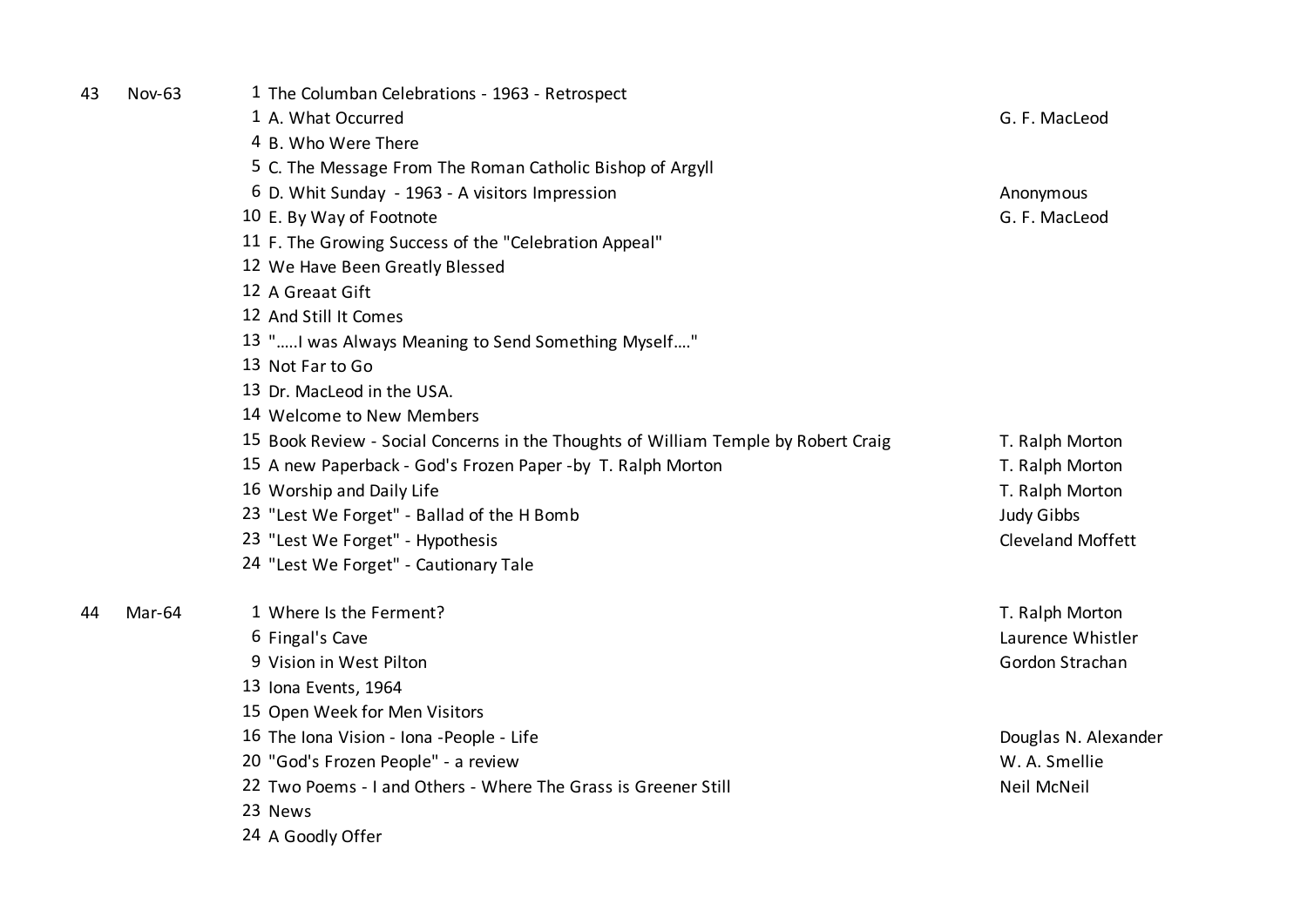| 43 | <b>Nov-63</b> | 1 The Columban Celebrations - 1963 - Retrospect                                    |                      |
|----|---------------|------------------------------------------------------------------------------------|----------------------|
|    |               | 1 A. What Occurred                                                                 | G. F. MacLeod        |
|    |               | 4 B. Who Were There                                                                |                      |
|    |               | 5 C. The Message From The Roman Catholic Bishop of Argyll                          |                      |
|    |               | 6 D. Whit Sunday - 1963 - A visitors Impression                                    | Anonymous            |
|    |               | 10 E. By Way of Footnote                                                           | G. F. MacLeod        |
|    |               | 11 F. The Growing Success of the "Celebration Appeal"                              |                      |
|    |               | 12 We Have Been Greatly Blessed                                                    |                      |
|    |               | 12 A Greaat Gift                                                                   |                      |
|    |               | 12 And Still It Comes                                                              |                      |
|    |               | 13 " I was Always Meaning to Send Something Myself"                                |                      |
|    |               | 13 Not Far to Go                                                                   |                      |
|    |               | 13 Dr. MacLeod in the USA.                                                         |                      |
|    |               | 14 Welcome to New Members                                                          |                      |
|    |               | 15 Book Review - Social Concerns in the Thoughts of William Temple by Robert Craig | T. Ralph Morton      |
|    |               | 15 A new Paperback - God's Frozen Paper -by T. Ralph Morton                        | T. Ralph Morton      |
|    |               | 16 Worship and Daily Life                                                          | T. Ralph Morton      |
|    |               | 23 "Lest We Forget" - Ballad of the H Bomb                                         | <b>Judy Gibbs</b>    |
|    |               | 23 "Lest We Forget" - Hypothesis                                                   | Cleveland Moffett    |
|    |               | 24 "Lest We Forget" - Cautionary Tale                                              |                      |
| 44 | Mar-64        | 1 Where Is the Ferment?                                                            | T. Ralph Morton      |
|    |               | 6 Fingal's Cave                                                                    | Laurence Whistler    |
|    |               | 9 Vision in West Pilton                                                            | Gordon Strachan      |
|    |               | 13 Iona Events, 1964                                                               |                      |
|    |               | 15 Open Week for Men Visitors                                                      |                      |
|    |               | 16 The Iona Vision - Iona - People - Life                                          | Douglas N. Alexander |
|    |               | 20 "God's Frozen People" - a review                                                | W. A. Smellie        |
|    |               | 22 Two Poems - I and Others - Where The Grass is Greener Still                     | Neil McNeil          |
|    |               | 23 News                                                                            |                      |
|    |               | 24 A Goodly Offer                                                                  |                      |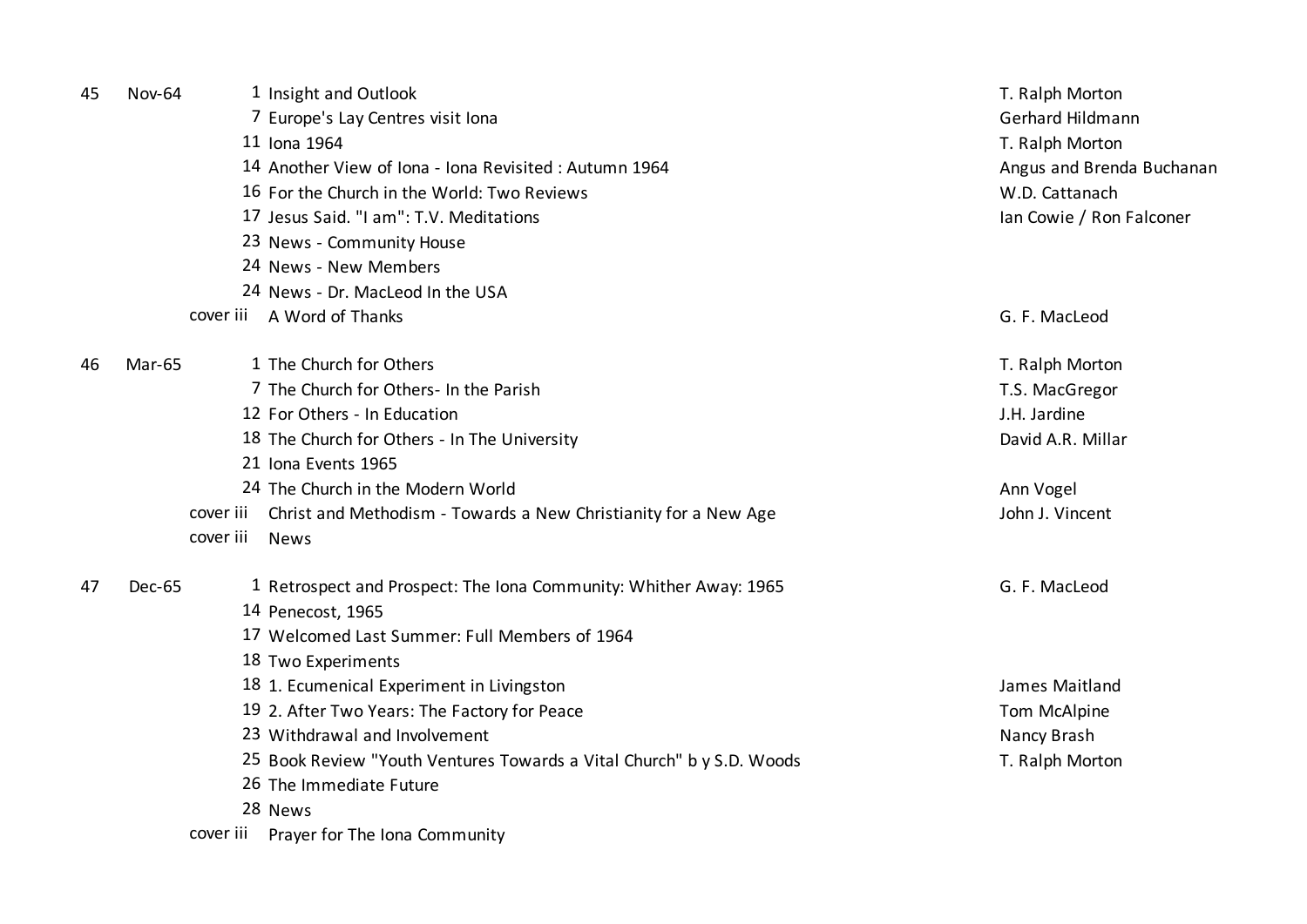| 45 | <b>Nov-64</b> | 1 Insight and Outlook                                                 | T. Ralph Morton           |
|----|---------------|-----------------------------------------------------------------------|---------------------------|
|    |               | 7 Europe's Lay Centres visit Iona                                     | Gerhard Hildmann          |
|    |               | 11 Iona 1964                                                          | T. Ralph Morton           |
|    |               | 14 Another View of Iona - Iona Revisited: Autumn 1964                 | Angus and Brenda Buchanan |
|    |               | 16 For the Church in the World: Two Reviews                           | W.D. Cattanach            |
|    |               | 17 Jesus Said. "I am": T.V. Meditations                               | Ian Cowie / Ron Falconer  |
|    |               | 23 News - Community House                                             |                           |
|    |               | 24 News - New Members                                                 |                           |
|    |               | 24 News - Dr. MacLeod In the USA                                      |                           |
|    |               | cover iii A Word of Thanks                                            | G. F. MacLeod             |
| 46 | Mar-65        | 1 The Church for Others                                               | T. Ralph Morton           |
|    |               | 7 The Church for Others- In the Parish                                | T.S. MacGregor            |
|    |               | 12 For Others - In Education                                          | J.H. Jardine              |
|    |               | 18 The Church for Others - In The University                          | David A.R. Millar         |
|    |               | 21 Iona Events 1965                                                   |                           |
|    |               | 24 The Church in the Modern World                                     | Ann Vogel                 |
|    | cover iii     | Christ and Methodism - Towards a New Christianity for a New Age       | John J. Vincent           |
|    | cover iii     | <b>News</b>                                                           |                           |
| 47 | Dec-65        | 1 Retrospect and Prospect: The Iona Community: Whither Away: 1965     | G. F. MacLeod             |
|    |               | 14 Penecost, 1965                                                     |                           |
|    |               | 17 Welcomed Last Summer: Full Members of 1964                         |                           |
|    |               | 18 Two Experiments                                                    |                           |
|    |               | 18 1. Ecumenical Experiment in Livingston                             | James Maitland            |
|    |               | 19 2. After Two Years: The Factory for Peace                          | Tom McAlpine              |
|    |               | 23 Withdrawal and Involvement                                         | Nancy Brash               |
|    |               | 25 Book Review "Youth Ventures Towards a Vital Church" b y S.D. Woods | T. Ralph Morton           |
|    |               | 26 The Immediate Future                                               |                           |
|    |               | 28 News                                                               |                           |
|    | cover iii     | Prayer for The Iona Community                                         |                           |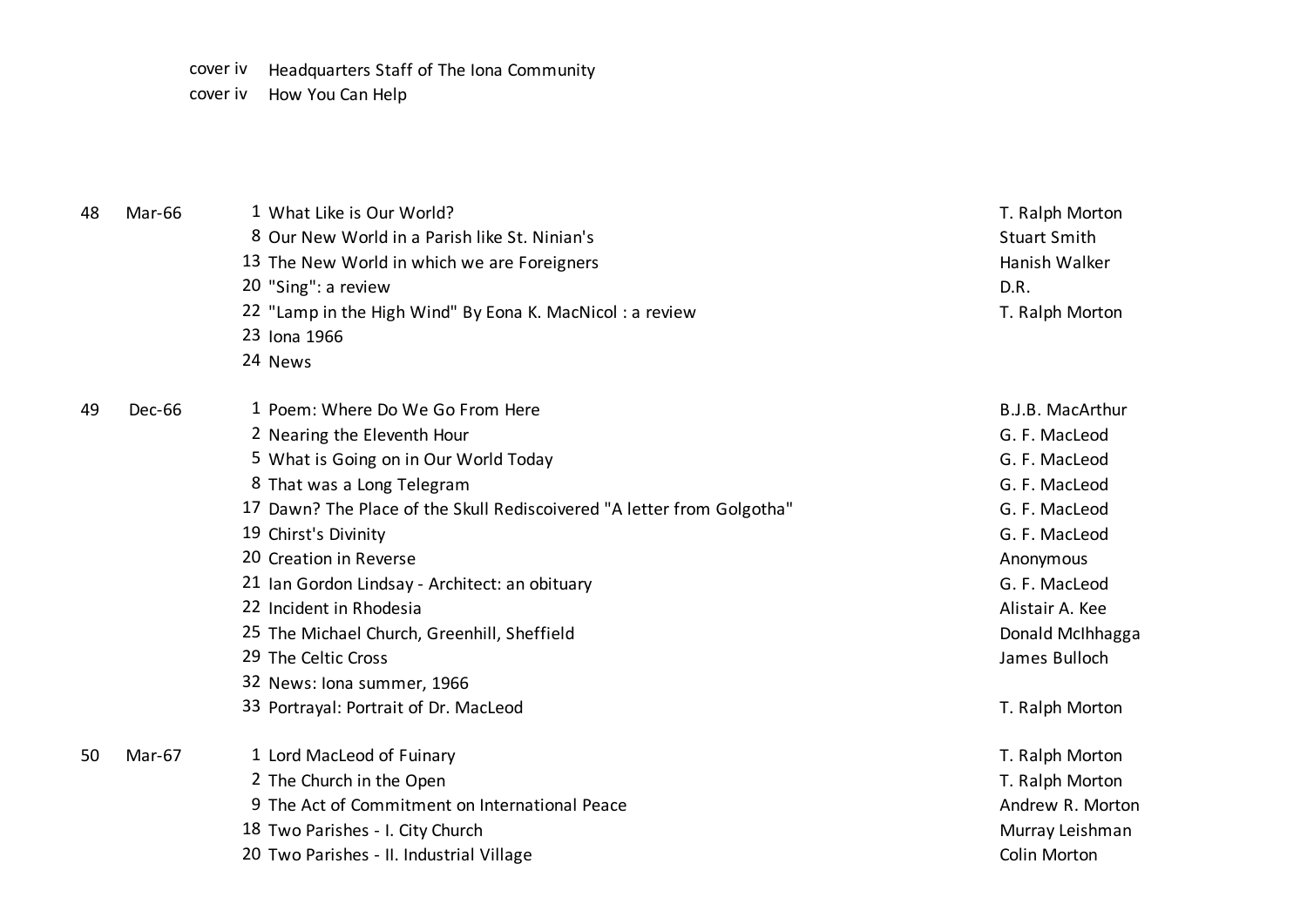cover iv Headquarters Staff of The Iona Community

cover iv How You Can Help

| 48 | <b>Mar-66</b> | 1 What Like is Our World?                                              | T. Ralph Morton     |
|----|---------------|------------------------------------------------------------------------|---------------------|
|    |               | 8 Our New World in a Parish like St. Ninian's                          | <b>Stuart Smith</b> |
|    |               | 13 The New World in which we are Foreigners                            | Hanish Walker       |
|    |               | 20 "Sing": a review                                                    | D.R.                |
|    |               | 22 "Lamp in the High Wind" By Eona K. MacNicol: a review               | T. Ralph Morton     |
|    |               | 23 Iona 1966                                                           |                     |
|    |               | 24 News                                                                |                     |
| 49 | Dec-66        | 1 Poem: Where Do We Go From Here                                       | B.J.B. MacArthur    |
|    |               | 2 Nearing the Eleventh Hour                                            | G. F. MacLeod       |
|    |               | 5 What is Going on in Our World Today                                  | G. F. MacLeod       |
|    |               | 8 That was a Long Telegram                                             | G. F. MacLeod       |
|    |               | 17 Dawn? The Place of the Skull Rediscoivered "A letter from Golgotha" | G. F. MacLeod       |
|    |               | 19 Chirst's Divinity                                                   | G. F. MacLeod       |
|    |               | 20 Creation in Reverse                                                 | Anonymous           |
|    |               | 21 Ian Gordon Lindsay - Architect: an obituary                         | G. F. MacLeod       |
|    |               | 22 Incident in Rhodesia                                                | Alistair A. Kee     |
|    |               | 25 The Michael Church, Greenhill, Sheffield                            | Donald McIhhagga    |
|    |               | 29 The Celtic Cross                                                    | James Bulloch       |
|    |               | 32 News: Iona summer, 1966                                             |                     |
|    |               | 33 Portrayal: Portrait of Dr. MacLeod                                  | T. Ralph Morton     |
| 50 | Mar-67        | 1 Lord MacLeod of Fuinary                                              | T. Ralph Morton     |
|    |               | 2 The Church in the Open                                               | T. Ralph Morton     |
|    |               | 9 The Act of Commitment on International Peace                         | Andrew R. Morton    |
|    |               | 18 Two Parishes - I. City Church                                       | Murray Leishman     |
|    |               | 20 Two Parishes - II. Industrial Village                               | Colin Morton        |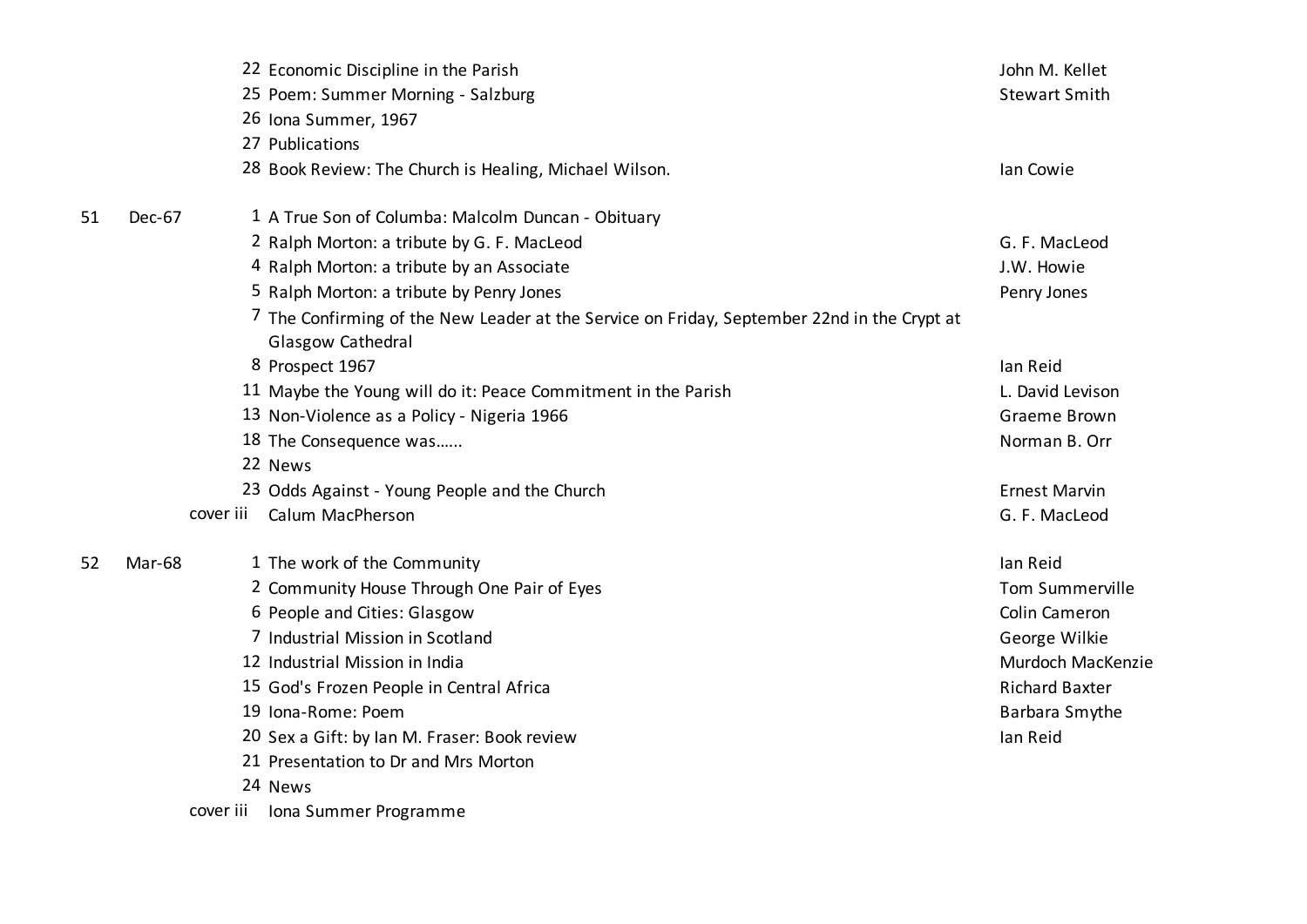|    |           | 22 Economic Discipline in the Parish                                                                             | John M. Kellet        |
|----|-----------|------------------------------------------------------------------------------------------------------------------|-----------------------|
|    |           | 25 Poem: Summer Morning - Salzburg                                                                               | <b>Stewart Smith</b>  |
|    |           | 26 Iona Summer, 1967                                                                                             |                       |
|    |           | 27 Publications                                                                                                  |                       |
|    |           | 28 Book Review: The Church is Healing, Michael Wilson.                                                           | lan Cowie             |
| 51 | Dec-67    | 1 A True Son of Columba: Malcolm Duncan - Obituary                                                               |                       |
|    |           | 2 Ralph Morton: a tribute by G. F. MacLeod                                                                       | G. F. MacLeod         |
|    |           | 4 Ralph Morton: a tribute by an Associate                                                                        | J.W. Howie            |
|    |           | 5 Ralph Morton: a tribute by Penry Jones                                                                         | Penry Jones           |
|    |           | 7 The Confirming of the New Leader at the Service on Friday, September 22nd in the Crypt at<br>Glasgow Cathedral |                       |
|    |           | 8 Prospect 1967                                                                                                  | lan Reid              |
|    |           | 11 Maybe the Young will do it: Peace Commitment in the Parish                                                    | L. David Levison      |
|    |           | 13 Non-Violence as a Policy - Nigeria 1966                                                                       | Graeme Brown          |
|    |           | 18 The Consequence was                                                                                           | Norman B. Orr         |
|    |           | 22 News                                                                                                          |                       |
|    |           | 23 Odds Against - Young People and the Church                                                                    | <b>Ernest Marvin</b>  |
|    | cover iii | Calum MacPherson                                                                                                 | G. F. MacLeod         |
| 52 | Mar-68    | 1 The work of the Community                                                                                      | lan Reid              |
|    |           | 2 Community House Through One Pair of Eyes                                                                       | Tom Summerville       |
|    |           | 6 People and Cities: Glasgow                                                                                     | <b>Colin Cameron</b>  |
|    |           | 7 Industrial Mission in Scotland                                                                                 | George Wilkie         |
|    |           | 12 Industrial Mission in India                                                                                   | Murdoch MacKenzie     |
|    |           | 15 God's Frozen People in Central Africa                                                                         | <b>Richard Baxter</b> |
|    |           | 19 Iona-Rome: Poem                                                                                               | Barbara Smythe        |
|    |           | 20 Sex a Gift: by Ian M. Fraser: Book review                                                                     | lan Reid              |
|    |           | 21 Presentation to Dr and Mrs Morton                                                                             |                       |
|    |           | 24 News                                                                                                          |                       |
|    | cover iii | Iona Summer Programme                                                                                            |                       |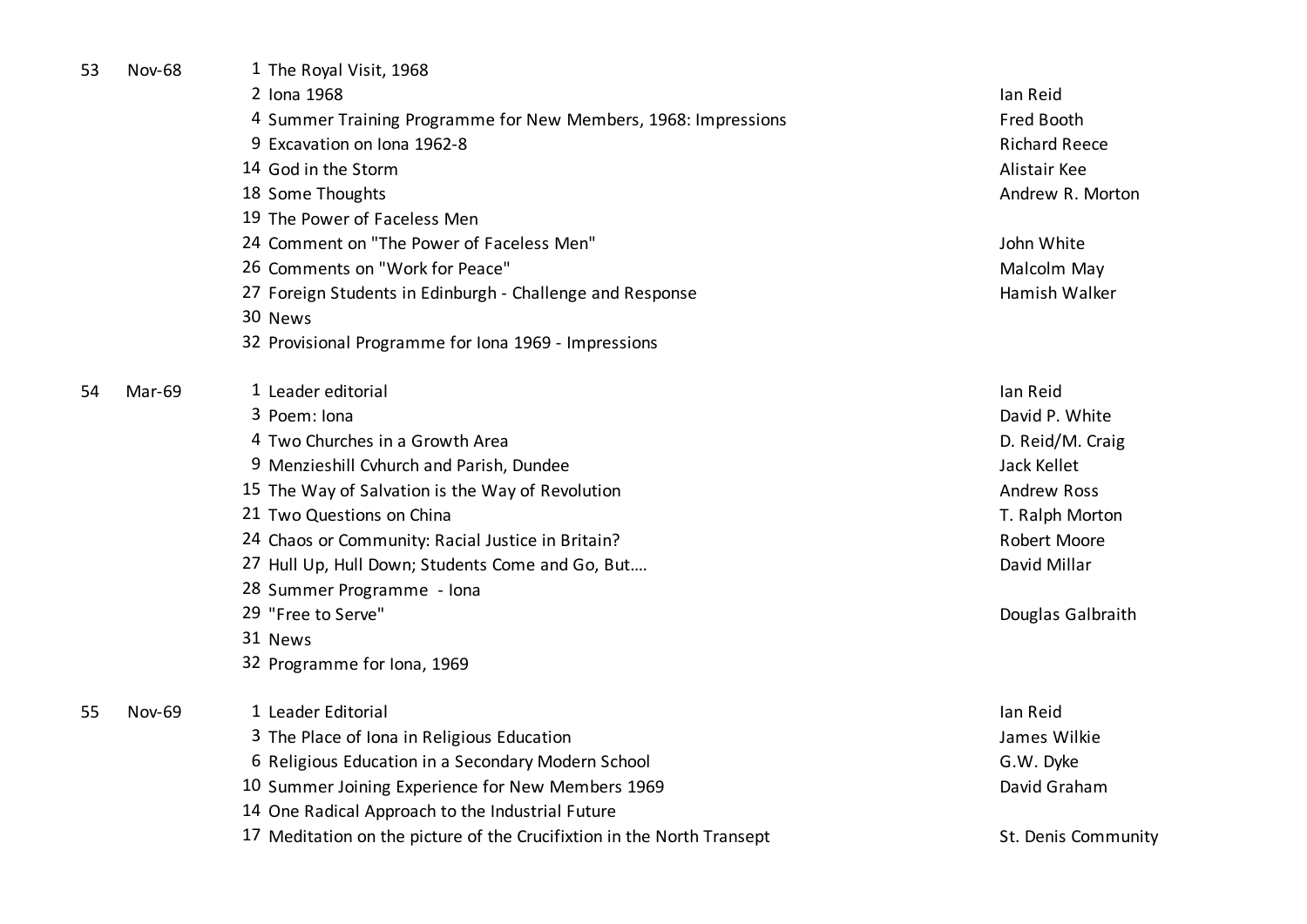| 53 | <b>Nov-68</b> | 1 The Royal Visit, 1968                                                |                      |
|----|---------------|------------------------------------------------------------------------|----------------------|
|    |               | 2 Iona 1968                                                            | lan Reid             |
|    |               | 4 Summer Training Programme for New Members, 1968: Impressions         | Fred Booth           |
|    |               | 9 Excavation on Iona 1962-8                                            | <b>Richard Reece</b> |
|    |               | 14 God in the Storm                                                    | Alistair Kee         |
|    |               | 18 Some Thoughts                                                       | Andrew R. Morton     |
|    |               | 19 The Power of Faceless Men                                           |                      |
|    |               | 24 Comment on "The Power of Faceless Men"                              | John White           |
|    |               | 26 Comments on "Work for Peace"                                        | Malcolm May          |
|    |               | 27 Foreign Students in Edinburgh - Challenge and Response              | Hamish Walker        |
|    |               | 30 News                                                                |                      |
|    |               | 32 Provisional Programme for Iona 1969 - Impressions                   |                      |
| 54 | Mar-69        | 1 Leader editorial                                                     | lan Reid             |
|    |               | 3 Poem: Iona                                                           | David P. White       |
|    |               | 4 Two Churches in a Growth Area                                        | D. Reid/M. Craig     |
|    |               | 9 Menzieshill Cvhurch and Parish, Dundee                               | Jack Kellet          |
|    |               | 15 The Way of Salvation is the Way of Revolution                       | <b>Andrew Ross</b>   |
|    |               | 21 Two Questions on China                                              | T. Ralph Morton      |
|    |               | 24 Chaos or Community: Racial Justice in Britain?                      | <b>Robert Moore</b>  |
|    |               | 27 Hull Up, Hull Down; Students Come and Go, But                       | David Millar         |
|    |               | 28 Summer Programme - Iona                                             |                      |
|    |               | 29 "Free to Serve"                                                     | Douglas Galbraith    |
|    |               | 31 News                                                                |                      |
|    |               | 32 Programme for Iona, 1969                                            |                      |
| 55 | <b>Nov-69</b> | 1 Leader Editorial                                                     | lan Reid             |
|    |               | 3 The Place of Iona in Religious Education                             | James Wilkie         |
|    |               | 6 Religious Education in a Secondary Modern School                     | G.W. Dyke            |
|    |               | 10 Summer Joining Experience for New Members 1969                      | David Graham         |
|    |               | 14 One Radical Approach to the Industrial Future                       |                      |
|    |               | 17 Meditation on the picture of the Crucifixtion in the North Transept | St. Denis Community  |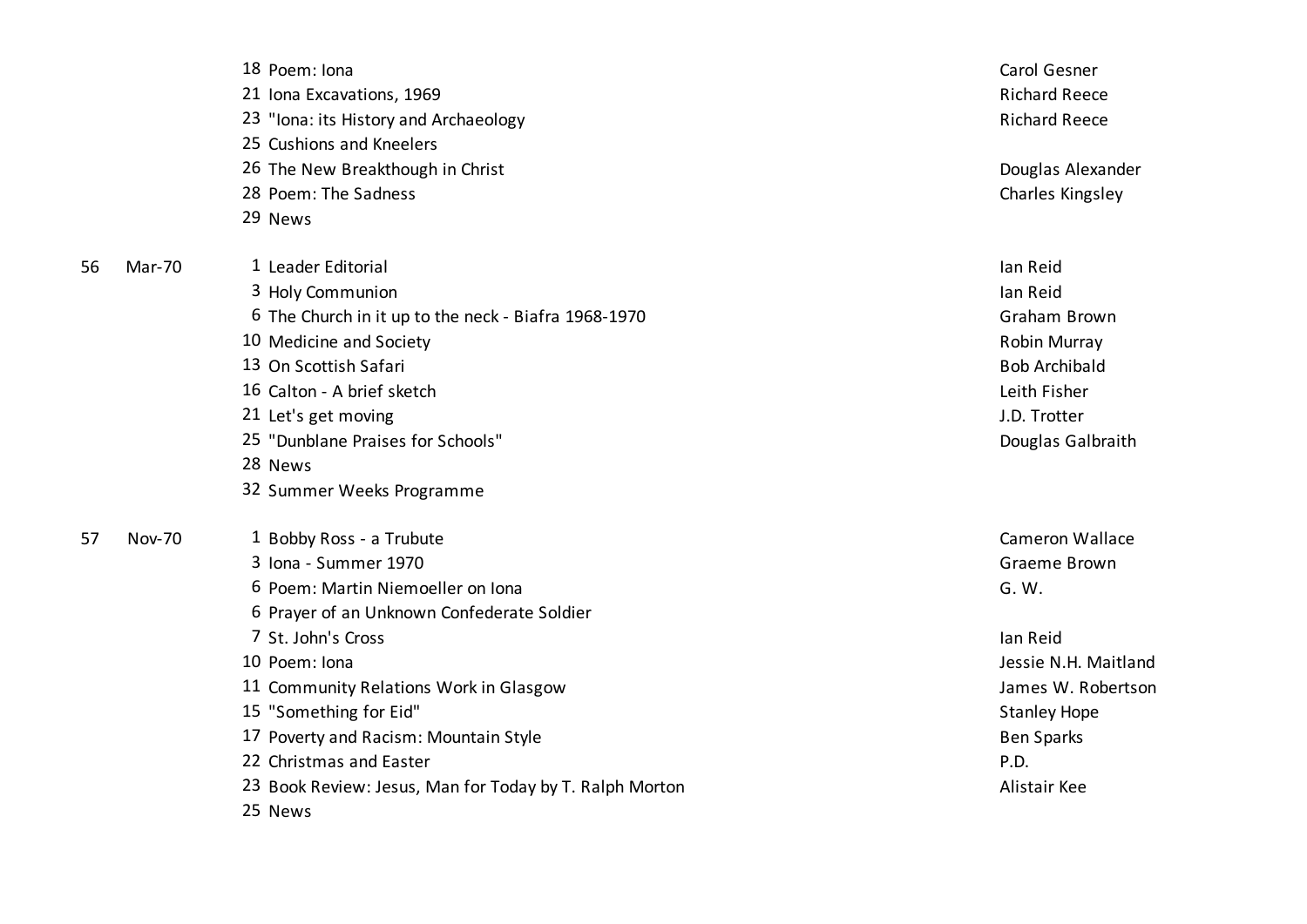|    |               | 18 Poem: Iona                                           | Carol Gesner           |
|----|---------------|---------------------------------------------------------|------------------------|
|    |               | 21 Iona Excavations, 1969                               | <b>Richard Reece</b>   |
|    |               | 23 "Iona: its History and Archaeology                   | <b>Richard Reece</b>   |
|    |               | 25 Cushions and Kneelers                                |                        |
|    |               | 26 The New Breakthough in Christ                        | Douglas Alexander      |
|    |               | 28 Poem: The Sadness                                    | Charles Kingsley       |
|    |               | 29 News                                                 |                        |
| 56 | Mar-70        | 1 Leader Editorial                                      | lan Reid               |
|    |               | 3 Holy Communion                                        | lan Reid               |
|    |               | 6 The Church in it up to the neck - Biafra 1968-1970    | Graham Brown           |
|    |               | 10 Medicine and Society                                 | Robin Murray           |
|    |               | 13 On Scottish Safari                                   | <b>Bob Archibald</b>   |
|    |               | 16 Calton - A brief sketch                              | Leith Fisher           |
|    |               | 21 Let's get moving                                     | J.D. Trotter           |
|    |               | 25 "Dunblane Praises for Schools"                       | Douglas Galbraith      |
|    |               | 28 News                                                 |                        |
|    |               | 32 Summer Weeks Programme                               |                        |
| 57 | <b>Nov-70</b> | 1 Bobby Ross - a Trubute                                | <b>Cameron Wallace</b> |
|    |               | 3 Iona - Summer 1970                                    | Graeme Brown           |
|    |               | 6 Poem: Martin Niemoeller on Iona                       | G. W.                  |
|    |               | 6 Prayer of an Unknown Confederate Soldier              |                        |
|    |               | 7 St. John's Cross                                      | lan Reid               |
|    |               | 10 Poem: Iona                                           | Jessie N.H. Maitland   |
|    |               | 11 Community Relations Work in Glasgow                  | James W. Robertson     |
|    |               | 15 "Something for Eid"                                  | <b>Stanley Hope</b>    |
|    |               | 17 Poverty and Racism: Mountain Style                   | <b>Ben Sparks</b>      |
|    |               | 22 Christmas and Easter                                 | P.D.                   |
|    |               | 23 Book Review: Jesus, Man for Today by T. Ralph Morton | Alistair Kee           |
|    |               | 25 News                                                 |                        |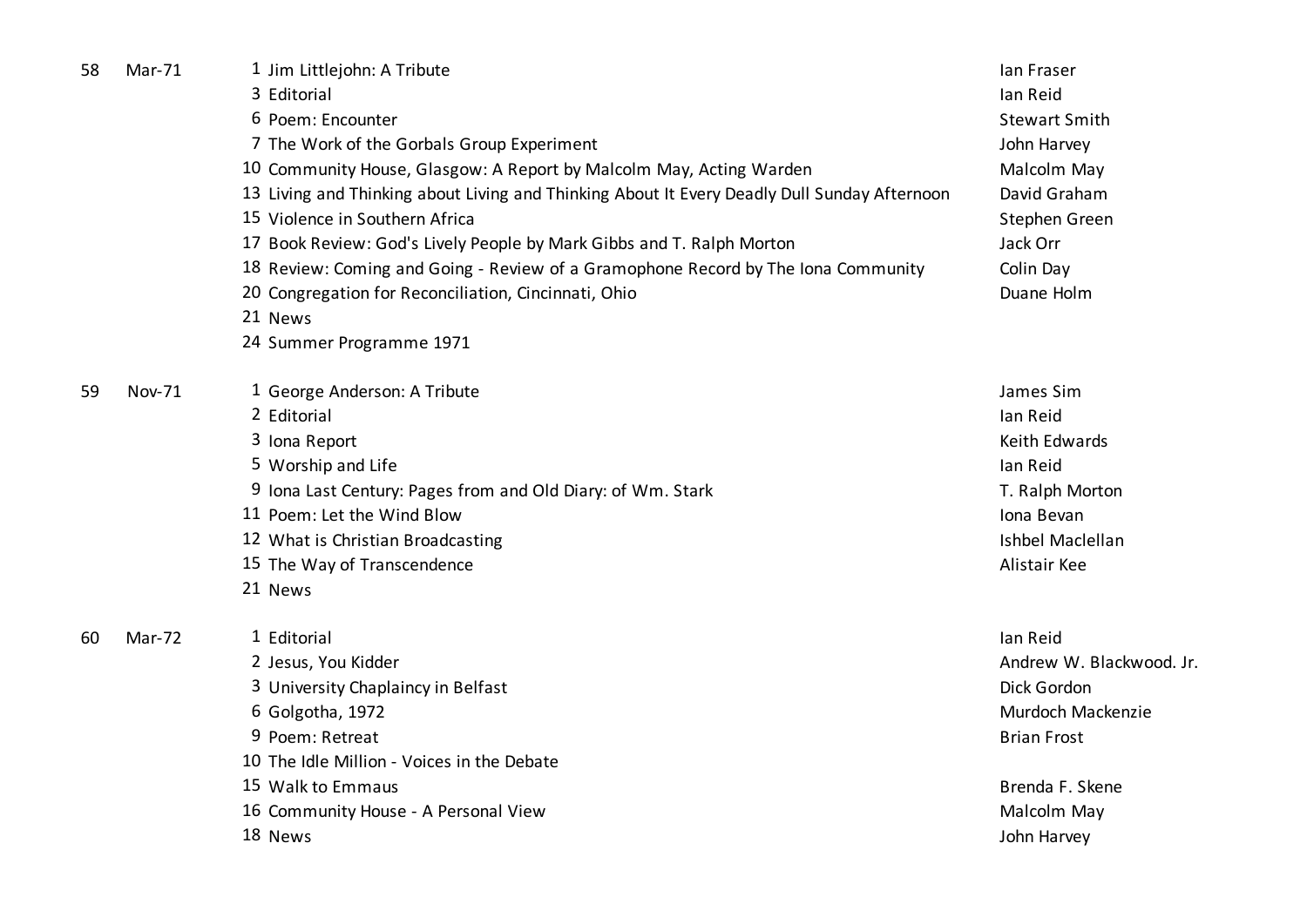| 58 | Mar-71 | 1 Jim Littlejohn: A Tribute                                                                  | lan Fraser               |
|----|--------|----------------------------------------------------------------------------------------------|--------------------------|
|    |        | 3 Editorial                                                                                  | lan Reid                 |
|    |        | 6 Poem: Encounter                                                                            | <b>Stewart Smith</b>     |
|    |        | 7 The Work of the Gorbals Group Experiment                                                   | John Harvey              |
|    |        | 10 Community House, Glasgow: A Report by Malcolm May, Acting Warden                          | Malcolm May              |
|    |        | 13 Living and Thinking about Living and Thinking About It Every Deadly Dull Sunday Afternoon | David Graham             |
|    |        | 15 Violence in Southern Africa                                                               | Stephen Green            |
|    |        | 17 Book Review: God's Lively People by Mark Gibbs and T. Ralph Morton                        | Jack Orr                 |
|    |        | 18 Review: Coming and Going - Review of a Gramophone Record by The Iona Community            | Colin Day                |
|    |        | 20 Congregation for Reconciliation, Cincinnati, Ohio                                         | Duane Holm               |
|    |        | 21 News                                                                                      |                          |
|    |        | 24 Summer Programme 1971                                                                     |                          |
| 59 | Nov-71 | 1 George Anderson: A Tribute                                                                 | James Sim                |
|    |        | 2 Editorial                                                                                  | lan Reid                 |
|    |        | 3 Iona Report                                                                                | Keith Edwards            |
|    |        | 5 Worship and Life                                                                           | lan Reid                 |
|    |        | 9 Iona Last Century: Pages from and Old Diary: of Wm. Stark                                  | T. Ralph Morton          |
|    |        | 11 Poem: Let the Wind Blow                                                                   | Iona Bevan               |
|    |        | 12 What is Christian Broadcasting                                                            | Ishbel Maclellan         |
|    |        | 15 The Way of Transcendence                                                                  | Alistair Kee             |
|    |        | 21 News                                                                                      |                          |
| 60 | Mar-72 | 1 Editorial                                                                                  | lan Reid                 |
|    |        | 2 Jesus, You Kidder                                                                          | Andrew W. Blackwood. Jr. |
|    |        | 3 University Chaplaincy in Belfast                                                           | Dick Gordon              |
|    |        | 6 Golgotha, 1972                                                                             | Murdoch Mackenzie        |
|    |        | 9 Poem: Retreat                                                                              | <b>Brian Frost</b>       |
|    |        | 10 The Idle Million - Voices in the Debate                                                   |                          |
|    |        | 15 Walk to Emmaus                                                                            | Brenda F. Skene          |
|    |        | 16 Community House - A Personal View                                                         | Malcolm May              |
|    |        | 18 News                                                                                      | John Harvey              |
|    |        |                                                                                              |                          |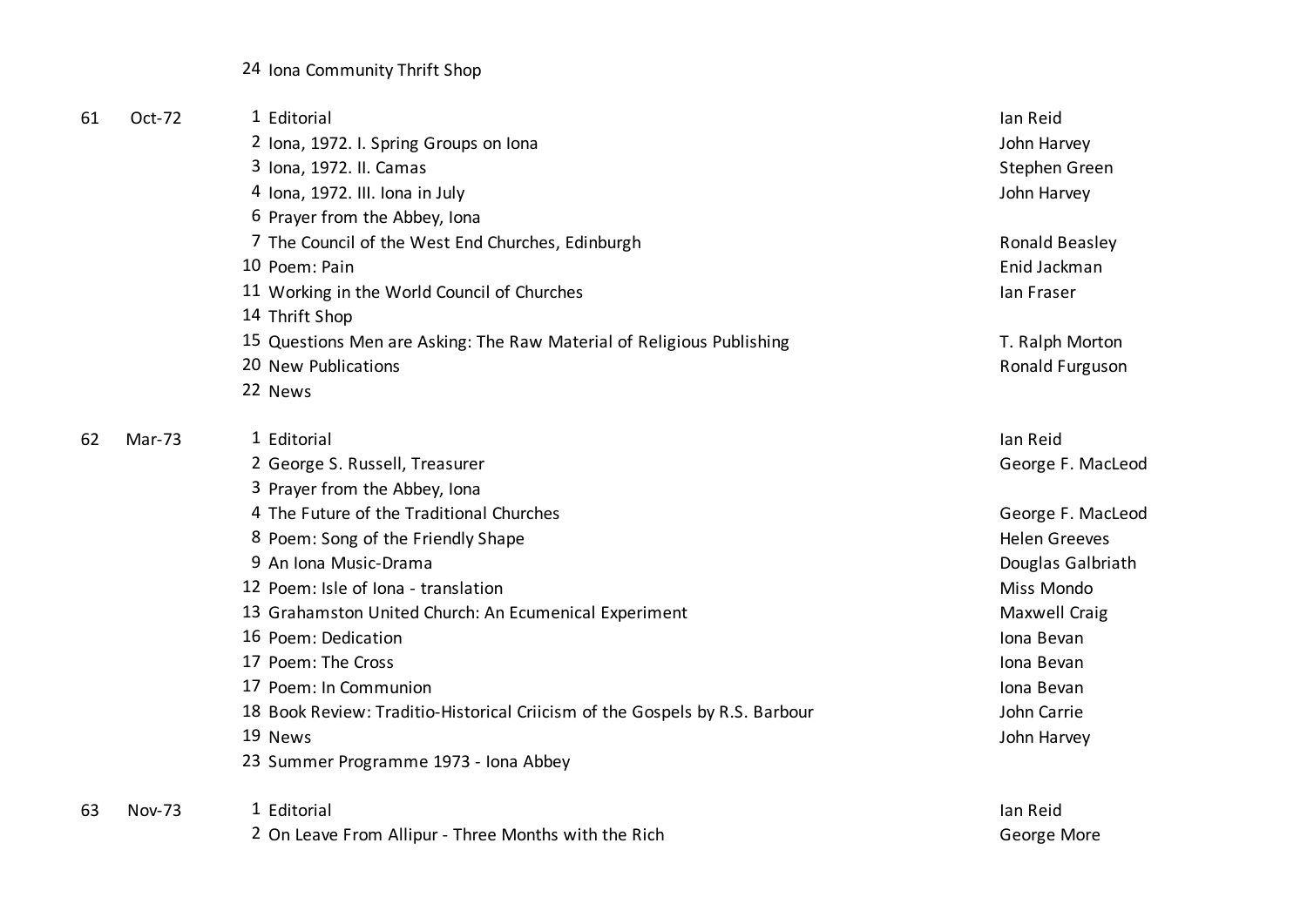24 Iona Community Thrift Shop

| 61 | Oct-72        | 1 Editorial                                                                 | lan Reid             |
|----|---------------|-----------------------------------------------------------------------------|----------------------|
|    |               | 2 Iona, 1972. I. Spring Groups on Iona                                      | John Harvey          |
|    |               | 3 Iona, 1972. II. Camas                                                     | Stephen Green        |
|    |               | 4 Iona, 1972. III. Iona in July                                             | John Harvey          |
|    |               | 6 Prayer from the Abbey, Iona                                               |                      |
|    |               | 7 The Council of the West End Churches, Edinburgh                           | Ronald Beasley       |
|    |               | 10 Poem: Pain                                                               | Enid Jackman         |
|    |               | 11 Working in the World Council of Churches                                 | lan Fraser           |
|    |               | 14 Thrift Shop                                                              |                      |
|    |               | 15 Questions Men are Asking: The Raw Material of Religious Publishing       | T. Ralph Morton      |
|    |               | 20 New Publications                                                         | Ronald Furguson      |
|    |               | 22 News                                                                     |                      |
| 62 | Mar-73        | 1 Editorial                                                                 | lan Reid             |
|    |               | 2 George S. Russell, Treasurer                                              | George F. MacLeod    |
|    |               | 3 Prayer from the Abbey, Iona                                               |                      |
|    |               | 4 The Future of the Traditional Churches                                    | George F. MacLeod    |
|    |               | 8 Poem: Song of the Friendly Shape                                          | <b>Helen Greeves</b> |
|    |               | 9 An Iona Music-Drama                                                       | Douglas Galbriath    |
|    |               | 12 Poem: Isle of Iona - translation                                         | Miss Mondo           |
|    |               | 13 Grahamston United Church: An Ecumenical Experiment                       | Maxwell Craig        |
|    |               | 16 Poem: Dedication                                                         | Iona Bevan           |
|    |               | 17 Poem: The Cross                                                          | Iona Bevan           |
|    |               | 17 Poem: In Communion                                                       | Iona Bevan           |
|    |               | 18 Book Review: Traditio-Historical Criicism of the Gospels by R.S. Barbour | John Carrie          |
|    |               | 19 News                                                                     | John Harvey          |
|    |               | 23 Summer Programme 1973 - Iona Abbey                                       |                      |
| 63 | <b>Nov-73</b> | 1 Editorial                                                                 | lan Reid             |
|    |               | 2 On Leave From Allipur - Three Months with the Rich                        | George More          |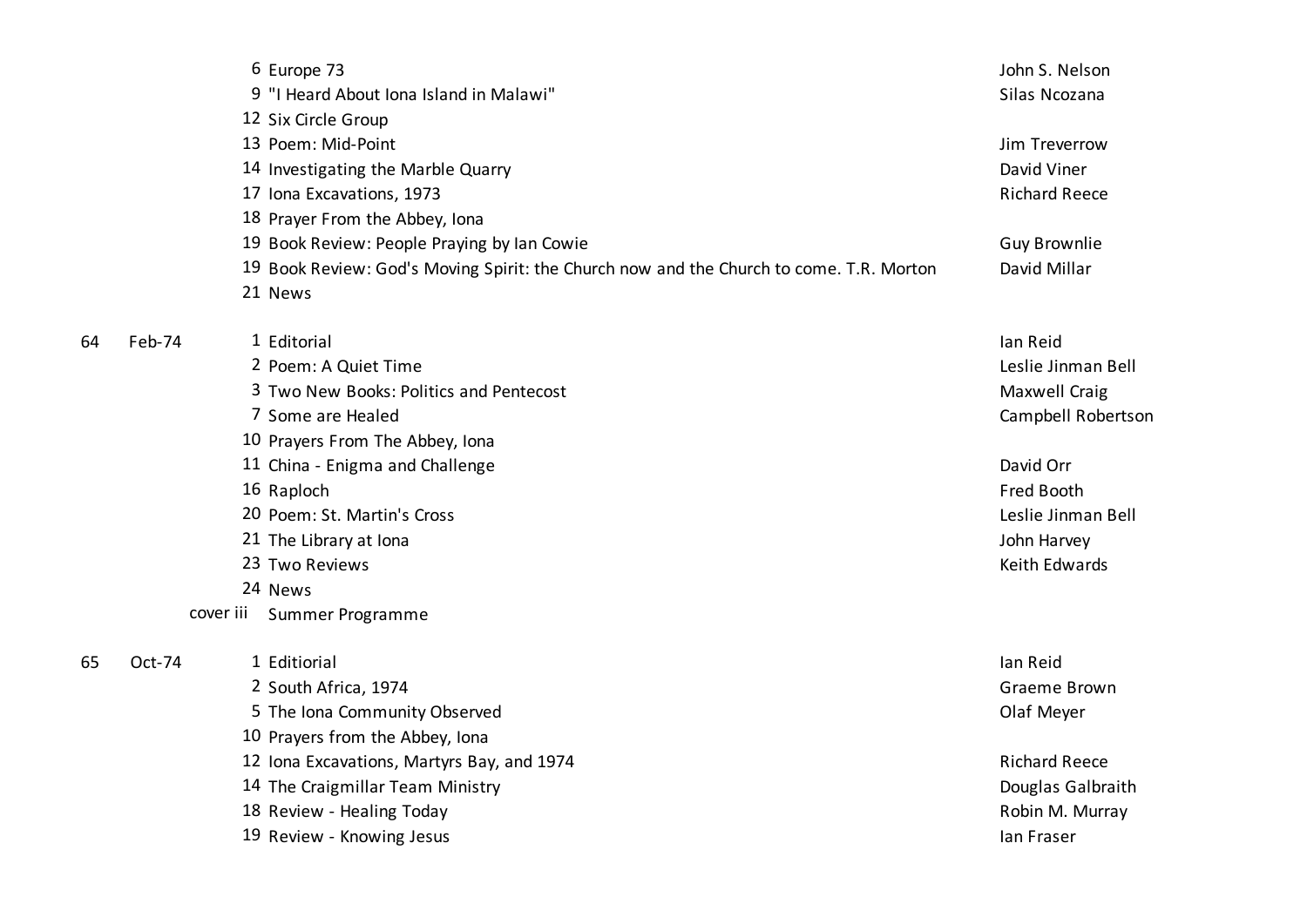|    |        | 6 Europe 73                                                                             | John S. Nelson       |
|----|--------|-----------------------------------------------------------------------------------------|----------------------|
|    |        | 9 "I Heard About Iona Island in Malawi"                                                 | Silas Ncozana        |
|    |        | 12 Six Circle Group                                                                     |                      |
|    |        | 13 Poem: Mid-Point                                                                      | Jim Treverrow        |
|    |        | 14 Investigating the Marble Quarry                                                      | David Viner          |
|    |        | 17 Iona Excavations, 1973                                                               | <b>Richard Reece</b> |
|    |        | 18 Prayer From the Abbey, Iona                                                          |                      |
|    |        | 19 Book Review: People Praying by Ian Cowie                                             | <b>Guy Brownlie</b>  |
|    |        | 19 Book Review: God's Moving Spirit: the Church now and the Church to come. T.R. Morton | David Millar         |
|    |        | 21 News                                                                                 |                      |
| 64 | Feb-74 | 1 Editorial                                                                             | lan Reid             |
|    |        | 2 Poem: A Quiet Time                                                                    | Leslie Jinman Bell   |
|    |        | 3 Two New Books: Politics and Pentecost                                                 | Maxwell Craig        |
|    |        | 7 Some are Healed                                                                       | Campbell Robertson   |
|    |        | 10 Prayers From The Abbey, Iona                                                         |                      |
|    |        | 11 China - Enigma and Challenge                                                         | David Orr            |
|    |        | 16 Raploch                                                                              | <b>Fred Booth</b>    |
|    |        | 20 Poem: St. Martin's Cross                                                             | Leslie Jinman Bell   |
|    |        | 21 The Library at Iona                                                                  | John Harvey          |
|    |        | 23 Two Reviews                                                                          | Keith Edwards        |
|    |        | 24 News                                                                                 |                      |
|    |        | cover iii Summer Programme                                                              |                      |
| 65 | Oct-74 | 1 Editiorial                                                                            | lan Reid             |
|    |        | 2 South Africa, 1974                                                                    | Graeme Brown         |
|    |        | 5 The Iona Community Observed                                                           | Olaf Meyer           |
|    |        | 10 Prayers from the Abbey, Iona                                                         |                      |
|    |        | 12 Iona Excavations, Martyrs Bay, and 1974                                              | <b>Richard Reece</b> |
|    |        | 14 The Craigmillar Team Ministry                                                        | Douglas Galbraith    |
|    |        | 18 Review - Healing Today                                                               | Robin M. Murray      |
|    |        | 19 Review - Knowing Jesus                                                               | lan Fraser           |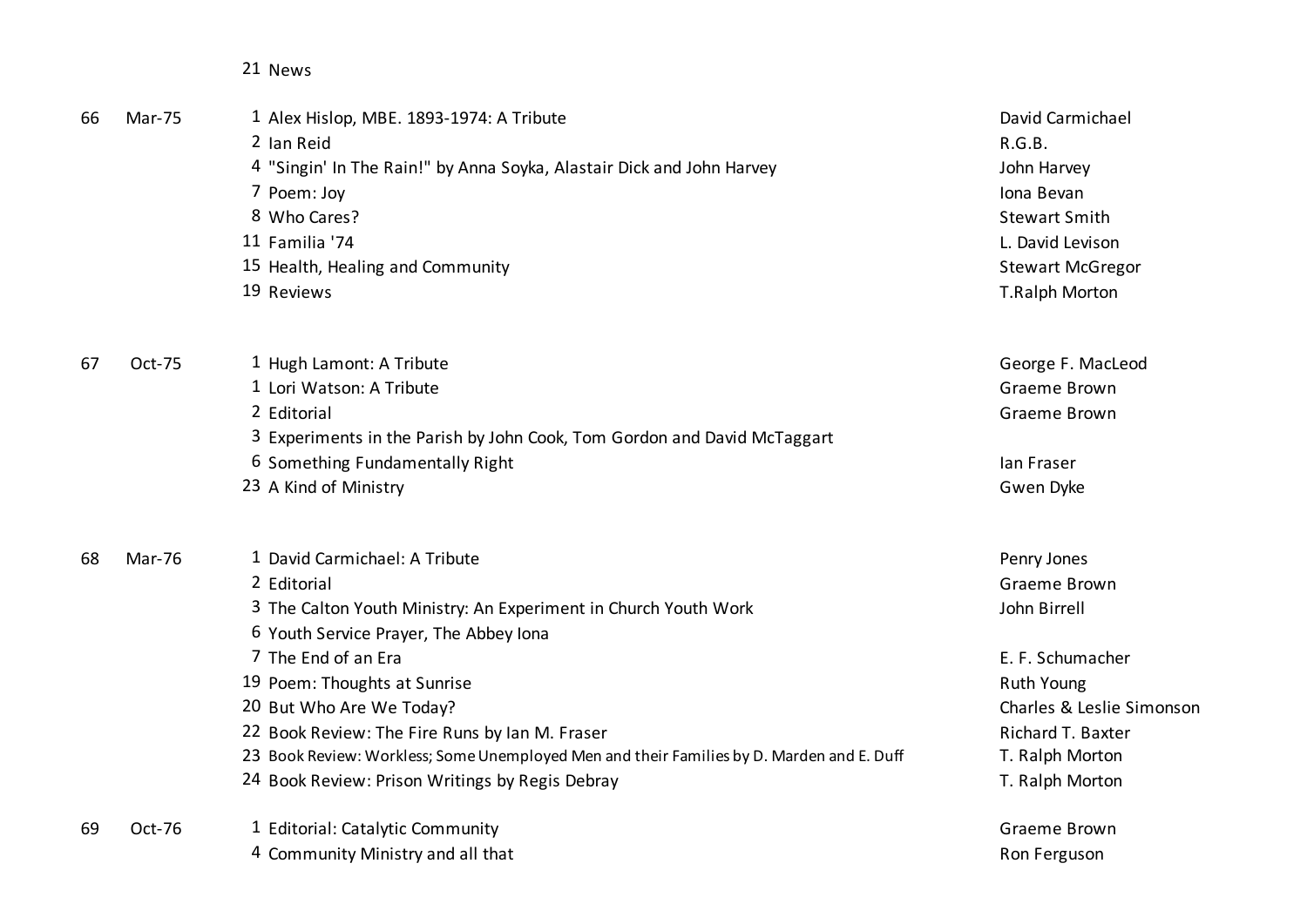News

| 66 | <b>Mar-75</b> | 1 Alex Hislop, MBE. 1893-1974: A Tribute                                                  | David Carmichael          |
|----|---------------|-------------------------------------------------------------------------------------------|---------------------------|
|    |               | 2 Ian Reid                                                                                | R.G.B.                    |
|    |               | 4 "Singin' In The Rain!" by Anna Soyka, Alastair Dick and John Harvey                     | John Harvey               |
|    |               | 7 Poem: Joy                                                                               | Iona Bevan                |
|    |               | 8 Who Cares?                                                                              | <b>Stewart Smith</b>      |
|    |               | 11 Familia '74                                                                            | L. David Levison          |
|    |               | 15 Health, Healing and Community                                                          | <b>Stewart McGregor</b>   |
|    |               | 19 Reviews                                                                                | T.Ralph Morton            |
| 67 | Oct-75        | 1 Hugh Lamont: A Tribute                                                                  | George F. MacLeod         |
|    |               | 1 Lori Watson: A Tribute                                                                  | Graeme Brown              |
|    |               | 2 Editorial                                                                               | Graeme Brown              |
|    |               | 3 Experiments in the Parish by John Cook, Tom Gordon and David McTaggart                  |                           |
|    |               | 6 Something Fundamentally Right                                                           | lan Fraser                |
|    |               | 23 A Kind of Ministry                                                                     | Gwen Dyke                 |
| 68 | <b>Mar-76</b> | 1 David Carmichael: A Tribute                                                             | Penry Jones               |
|    |               | 2 Editorial                                                                               | Graeme Brown              |
|    |               | 3 The Calton Youth Ministry: An Experiment in Church Youth Work                           | John Birrell              |
|    |               | 6 Youth Service Prayer, The Abbey Iona                                                    |                           |
|    |               | 7 The End of an Era                                                                       | E. F. Schumacher          |
|    |               | 19 Poem: Thoughts at Sunrise                                                              | Ruth Young                |
|    |               | 20 But Who Are We Today?                                                                  | Charles & Leslie Simonson |
|    |               | 22 Book Review: The Fire Runs by Ian M. Fraser                                            | Richard T. Baxter         |
|    |               | 23 Book Review: Workless; Some Unemployed Men and their Families by D. Marden and E. Duff | T. Ralph Morton           |
|    |               | 24 Book Review: Prison Writings by Regis Debray                                           | T. Ralph Morton           |
| 69 | Oct-76        | 1 Editorial: Catalytic Community                                                          | Graeme Brown              |
|    |               | 4 Community Ministry and all that                                                         | Ron Ferguson              |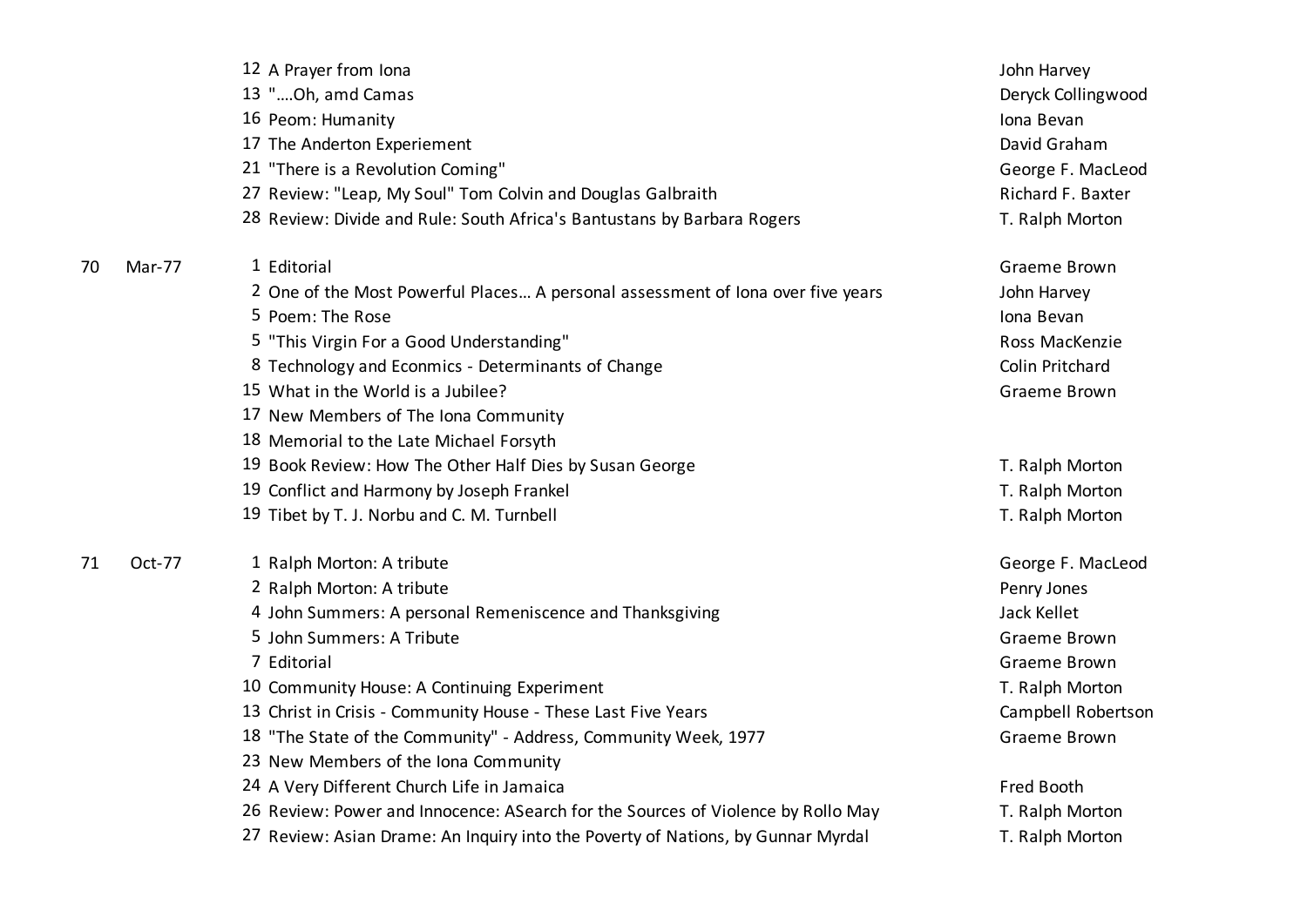|    |        | 12 A Prayer from Iona                                                            | John Harvey        |
|----|--------|----------------------------------------------------------------------------------|--------------------|
|    |        | 13 "Oh, amd Camas                                                                | Deryck Collingwood |
|    |        | 16 Peom: Humanity                                                                | Iona Bevan         |
|    |        | 17 The Anderton Experiement                                                      | David Graham       |
|    |        | 21 "There is a Revolution Coming"                                                | George F. MacLeod  |
|    |        | 27 Review: "Leap, My Soul" Tom Colvin and Douglas Galbraith                      | Richard F. Baxter  |
|    |        | 28 Review: Divide and Rule: South Africa's Bantustans by Barbara Rogers          | T. Ralph Morton    |
| 70 | Mar-77 | 1 Editorial                                                                      | Graeme Brown       |
|    |        | 2 One of the Most Powerful Places A personal assessment of Iona over five years  | John Harvey        |
|    |        | 5 Poem: The Rose                                                                 | Iona Bevan         |
|    |        | 5 "This Virgin For a Good Understanding"                                         | Ross MacKenzie     |
|    |        | 8 Technology and Econmics - Determinants of Change                               | Colin Pritchard    |
|    |        | 15 What in the World is a Jubilee?                                               | Graeme Brown       |
|    |        | 17 New Members of The Iona Community                                             |                    |
|    |        | 18 Memorial to the Late Michael Forsyth                                          |                    |
|    |        | 19 Book Review: How The Other Half Dies by Susan George                          | T. Ralph Morton    |
|    |        | 19 Conflict and Harmony by Joseph Frankel                                        | T. Ralph Morton    |
|    |        | 19 Tibet by T. J. Norbu and C. M. Turnbell                                       | T. Ralph Morton    |
| 71 | Oct-77 | 1 Ralph Morton: A tribute                                                        | George F. MacLeod  |
|    |        | 2 Ralph Morton: A tribute                                                        | Penry Jones        |
|    |        | 4 John Summers: A personal Remeniscence and Thanksgiving                         | Jack Kellet        |
|    |        | 5 John Summers: A Tribute                                                        | Graeme Brown       |
|    |        | 7 Editorial                                                                      | Graeme Brown       |
|    |        | 10 Community House: A Continuing Experiment                                      | T. Ralph Morton    |
|    |        | 13 Christ in Crisis - Community House - These Last Five Years                    | Campbell Robertson |
|    |        | 18 "The State of the Community" - Address, Community Week, 1977                  | Graeme Brown       |
|    |        | 23 New Members of the Iona Community                                             |                    |
|    |        | 24 A Very Different Church Life in Jamaica                                       | Fred Booth         |
|    |        | 26 Review: Power and Innocence: ASearch for the Sources of Violence by Rollo May | T. Ralph Morton    |
|    |        | 27 Review: Asian Drame: An Inquiry into the Poverty of Nations, by Gunnar Myrdal | T. Ralph Morton    |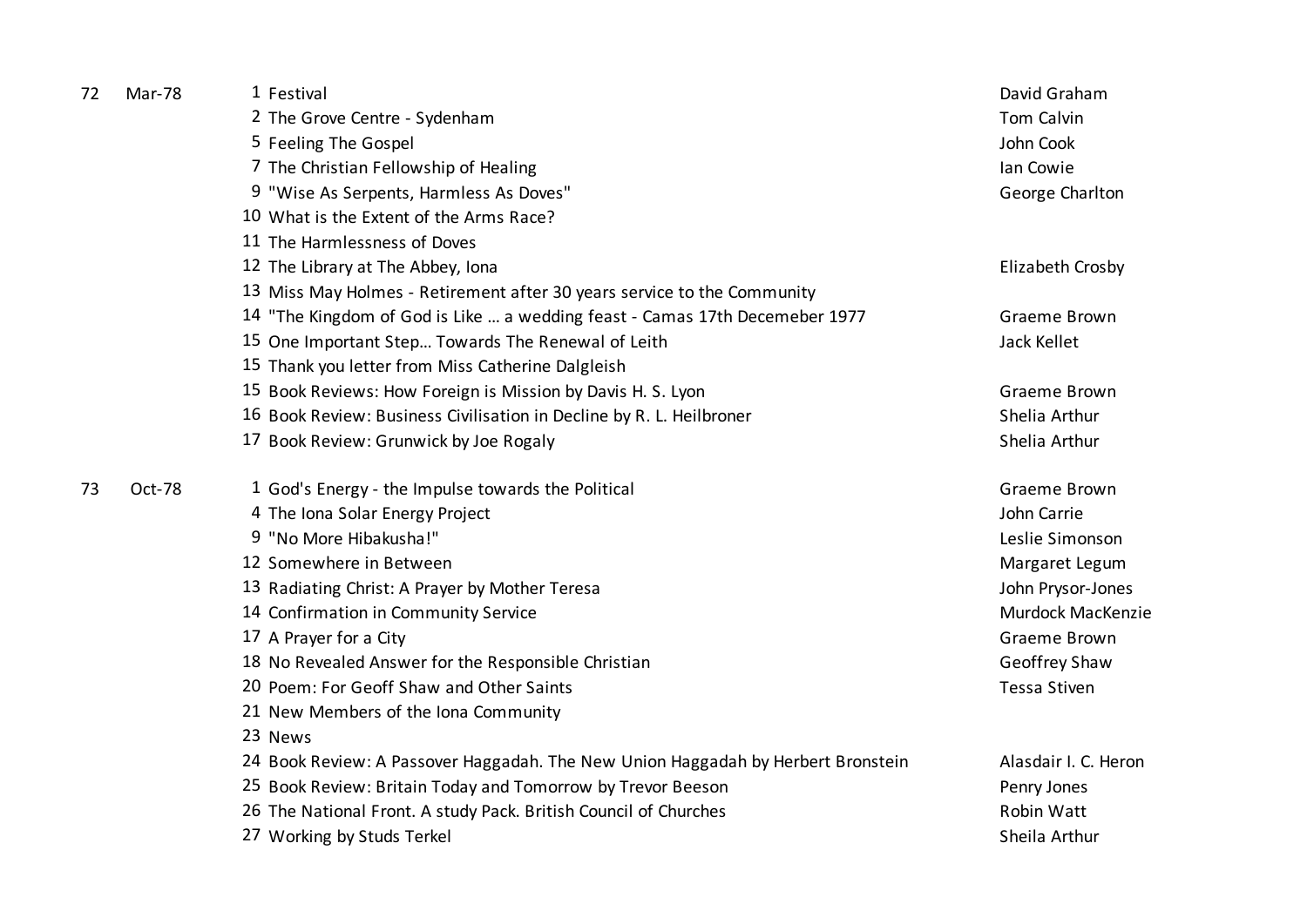| Mar-78 | 1 Festival                                                                       | David Graham         |
|--------|----------------------------------------------------------------------------------|----------------------|
|        | 2 The Grove Centre - Sydenham                                                    | Tom Calvin           |
|        | 5 Feeling The Gospel                                                             | John Cook            |
|        | 7 The Christian Fellowship of Healing                                            | lan Cowie            |
|        | 9 "Wise As Serpents, Harmless As Doves"                                          | George Charlton      |
|        | 10 What is the Extent of the Arms Race?                                          |                      |
|        | 11 The Harmlessness of Doves                                                     |                      |
|        | 12 The Library at The Abbey, Iona                                                | Elizabeth Crosby     |
|        | 13 Miss May Holmes - Retirement after 30 years service to the Community          |                      |
|        | 14 "The Kingdom of God is Like  a wedding feast - Camas 17th Decemeber 1977      | Graeme Brown         |
|        | 15 One Important Step Towards The Renewal of Leith                               | Jack Kellet          |
|        | 15 Thank you letter from Miss Catherine Dalgleish                                |                      |
|        | 15 Book Reviews: How Foreign is Mission by Davis H. S. Lyon                      | Graeme Brown         |
|        | 16 Book Review: Business Civilisation in Decline by R. L. Heilbroner             | Shelia Arthur        |
|        | 17 Book Review: Grunwick by Joe Rogaly                                           | Shelia Arthur        |
| Oct-78 | 1 God's Energy - the Impulse towards the Political                               | Graeme Brown         |
|        | 4 The Iona Solar Energy Project                                                  | John Carrie          |
|        | 9 "No More Hibakusha!"                                                           | Leslie Simonson      |
|        | 12 Somewhere in Between                                                          | Margaret Legum       |
|        | 13 Radiating Christ: A Prayer by Mother Teresa                                   | John Prysor-Jones    |
|        | 14 Confirmation in Community Service                                             | Murdock MacKenzie    |
|        | 17 A Prayer for a City                                                           | Graeme Brown         |
|        | 18 No Revealed Answer for the Responsible Christian                              | Geoffrey Shaw        |
|        | 20 Poem: For Geoff Shaw and Other Saints                                         | <b>Tessa Stiven</b>  |
|        | 21 New Members of the Iona Community                                             |                      |
|        | 23 News                                                                          |                      |
|        | 24 Book Review: A Passover Haggadah. The New Union Haggadah by Herbert Bronstein | Alasdair I. C. Heron |
|        | 25 Book Review: Britain Today and Tomorrow by Trevor Beeson                      | Penry Jones          |
|        | 26 The National Front. A study Pack. British Council of Churches                 | Robin Watt           |
|        | 27 Working by Studs Terkel                                                       | Sheila Arthur        |
|        |                                                                                  |                      |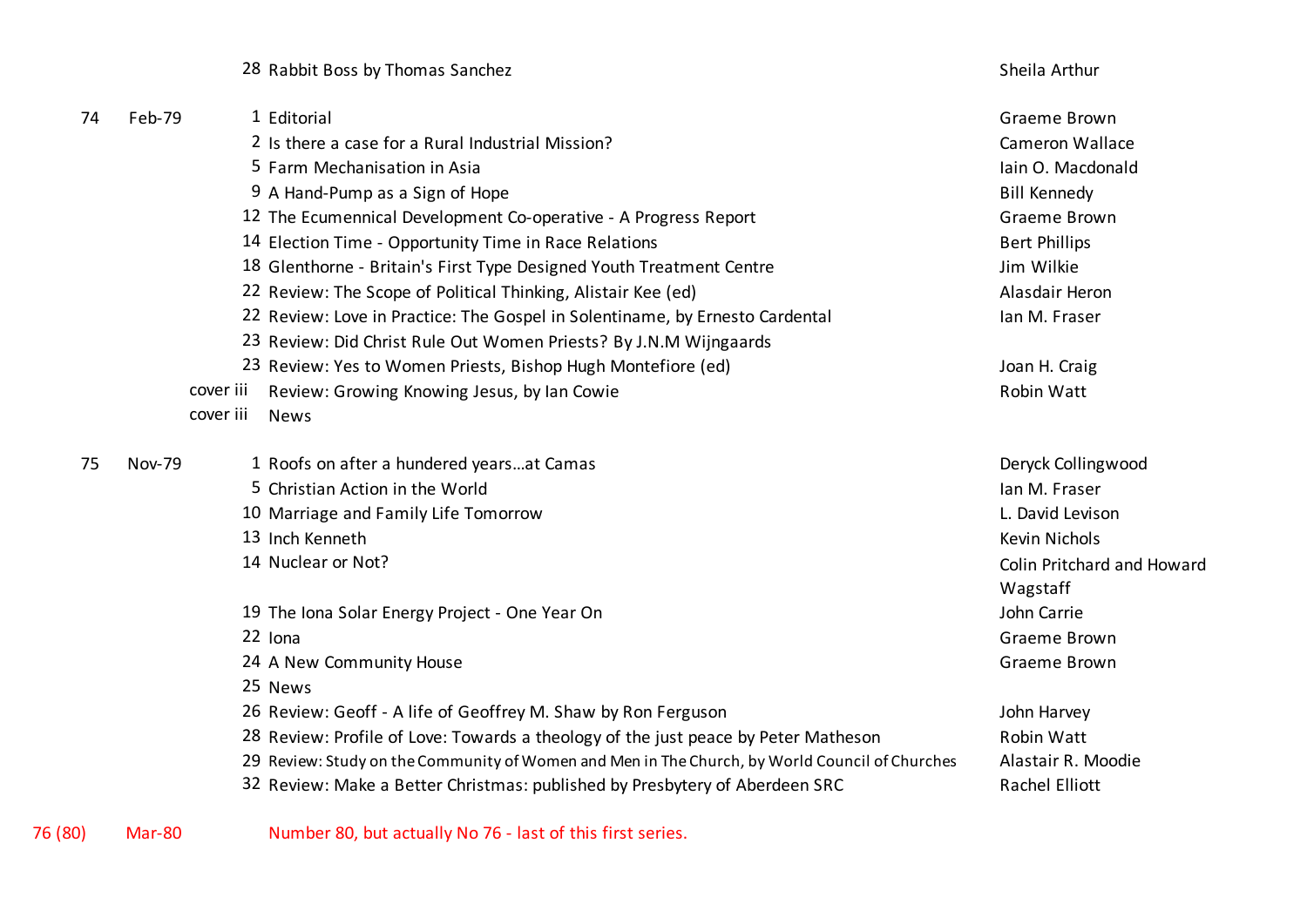28 Rabbit Boss by Thomas Sanchez Sheila Arthur Sheila Arthur Sheila Arthur Sheila Arthur

| 74 | Feb-79        |           | 1 Editorial                                                                                    | Graeme Brown               |
|----|---------------|-----------|------------------------------------------------------------------------------------------------|----------------------------|
|    |               |           | 2 Is there a case for a Rural Industrial Mission?                                              | <b>Cameron Wallace</b>     |
|    |               |           | 5 Farm Mechanisation in Asia                                                                   | Iain O. Macdonald          |
|    |               |           | 9 A Hand-Pump as a Sign of Hope                                                                | <b>Bill Kennedy</b>        |
|    |               |           | 12 The Ecumennical Development Co-operative - A Progress Report                                | Graeme Brown               |
|    |               |           | 14 Election Time - Opportunity Time in Race Relations                                          | <b>Bert Phillips</b>       |
|    |               |           | 18 Glenthorne - Britain's First Type Designed Youth Treatment Centre                           | Jim Wilkie                 |
|    |               |           | 22 Review: The Scope of Political Thinking, Alistair Kee (ed)                                  | Alasdair Heron             |
|    |               |           | 22 Review: Love in Practice: The Gospel in Solentiname, by Ernesto Cardental                   | lan M. Fraser              |
|    |               |           | 23 Review: Did Christ Rule Out Women Priests? By J.N.M Wijngaards                              |                            |
|    |               |           | 23 Review: Yes to Women Priests, Bishop Hugh Montefiore (ed)                                   | Joan H. Craig              |
|    |               | cover iii | Review: Growing Knowing Jesus, by Ian Cowie                                                    | Robin Watt                 |
|    |               | cover iii | <b>News</b>                                                                                    |                            |
| 75 | <b>Nov-79</b> |           | 1 Roofs on after a hundered yearsat Camas                                                      | Deryck Collingwood         |
|    |               |           | 5 Christian Action in the World                                                                | Ian M. Fraser              |
|    |               |           | 10 Marriage and Family Life Tomorrow                                                           | L. David Levison           |
|    |               |           | 13 Inch Kenneth                                                                                | <b>Kevin Nichols</b>       |
|    |               |           | 14 Nuclear or Not?                                                                             | Colin Pritchard and Howard |
|    |               |           |                                                                                                | Wagstaff                   |
|    |               |           | 19 The Iona Solar Energy Project - One Year On                                                 | John Carrie                |
|    |               |           | 22 Iona                                                                                        | Graeme Brown               |
|    |               |           | 24 A New Community House                                                                       | Graeme Brown               |
|    |               |           | 25 News                                                                                        |                            |
|    |               |           | 26 Review: Geoff - A life of Geoffrey M. Shaw by Ron Ferguson                                  | John Harvey                |
|    |               |           | 28 Review: Profile of Love: Towards a theology of the just peace by Peter Matheson             | Robin Watt                 |
|    |               |           | 29 Review: Study on the Community of Women and Men in The Church, by World Council of Churches | Alastair R. Moodie         |
|    |               |           | 32 Review: Make a Better Christmas: published by Presbytery of Aberdeen SRC                    | Rachel Elliott             |
|    |               |           |                                                                                                |                            |

76 (80) Mar-80 Number 80, but actually No 76 - last of this first series.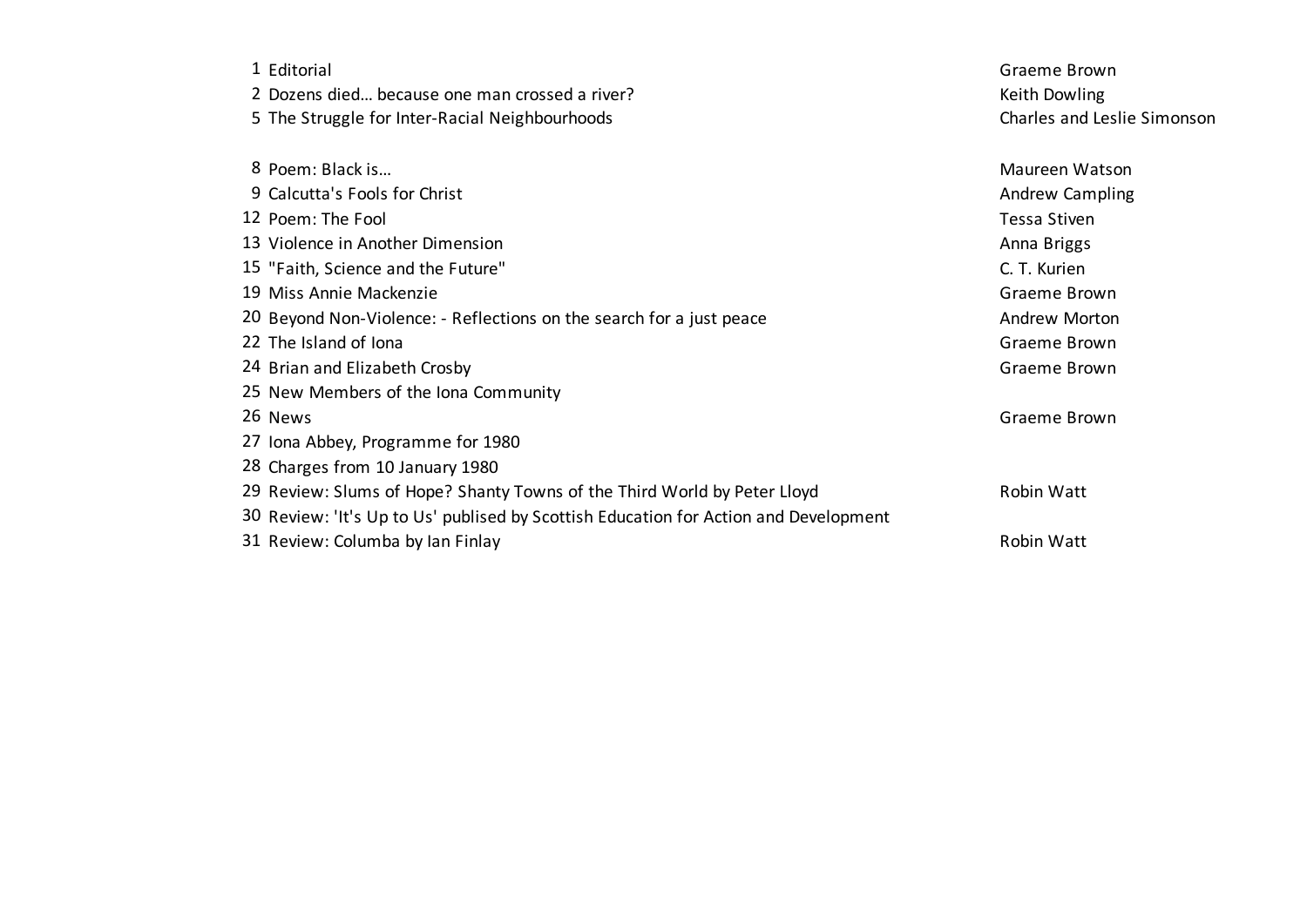| 1 Editorial                                                                          | Graeme Brown                |
|--------------------------------------------------------------------------------------|-----------------------------|
| 2 Dozens died because one man crossed a river?                                       | Keith Dowling               |
| 5 The Struggle for Inter-Racial Neighbourhoods                                       | Charles and Leslie Simonson |
| 8 Poem: Black is                                                                     | Maureen Watson              |
| 9 Calcutta's Fools for Christ                                                        | Andrew Campling             |
| 12 Poem: The Fool                                                                    | <b>Tessa Stiven</b>         |
| 13 Violence in Another Dimension                                                     | Anna Briggs                 |
| 15 "Faith, Science and the Future"                                                   | C. T. Kurien                |
| 19 Miss Annie Mackenzie                                                              | Graeme Brown                |
| 20 Beyond Non-Violence: - Reflections on the search for a just peace                 | Andrew Morton               |
| 22 The Island of Iona                                                                | Graeme Brown                |
| 24 Brian and Elizabeth Crosby                                                        | Graeme Brown                |
| 25 New Members of the Iona Community                                                 |                             |
| 26 News                                                                              | Graeme Brown                |
| 27 Iona Abbey, Programme for 1980                                                    |                             |
| 28 Charges from 10 January 1980                                                      |                             |
| 29 Review: Slums of Hope? Shanty Towns of the Third World by Peter Lloyd             | Robin Watt                  |
| 30 Review: 'It's Up to Us' publised by Scottish Education for Action and Development |                             |
| 31 Review: Columba by Ian Finlay                                                     | Robin Watt                  |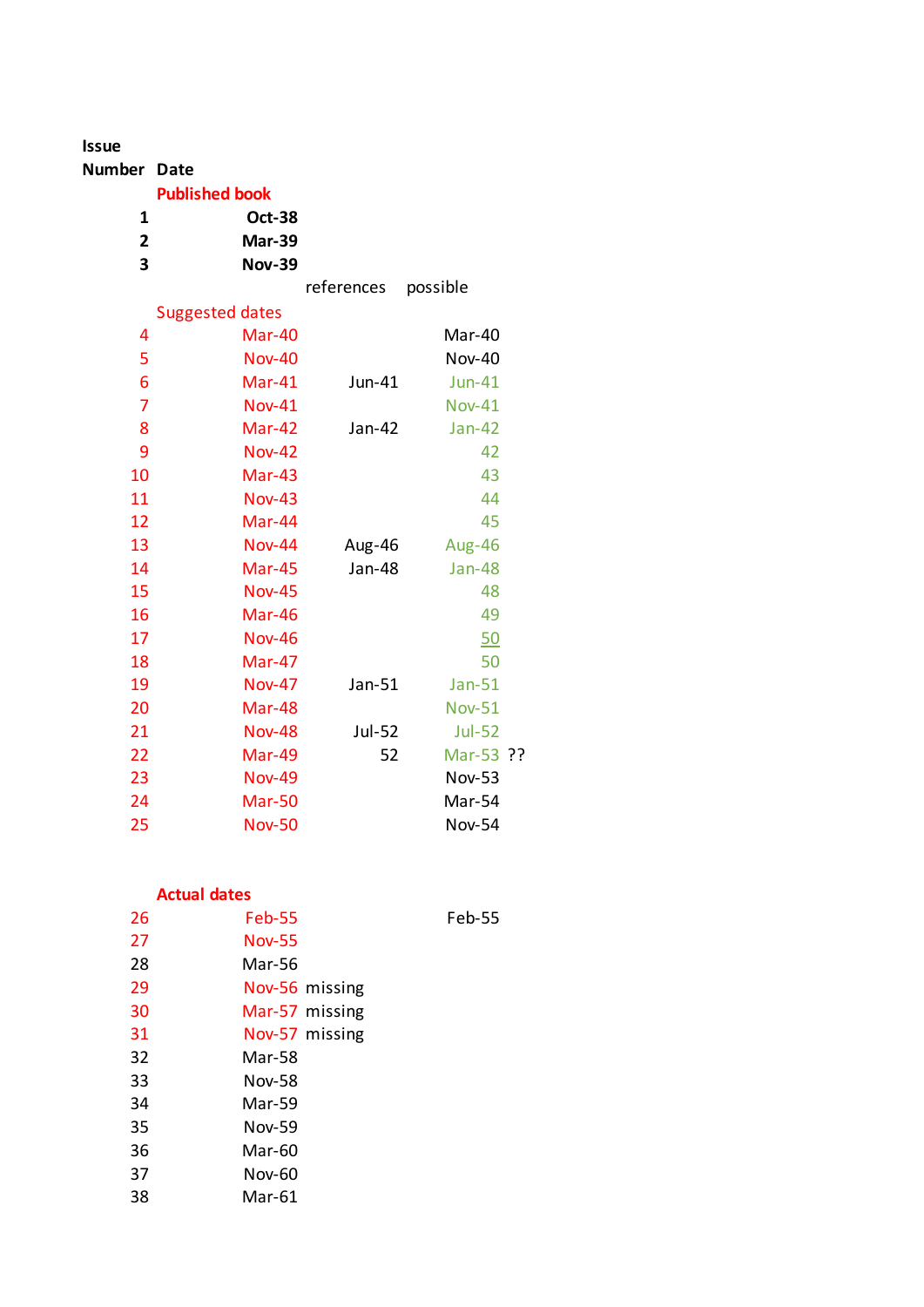| <b>Issue</b>   |                        |               |               |  |
|----------------|------------------------|---------------|---------------|--|
| Number Date    |                        |               |               |  |
|                | <b>Published book</b>  |               |               |  |
| 1              | <b>Oct-38</b>          |               |               |  |
| 2              | <b>Mar-39</b>          |               |               |  |
| 3              | <b>Nov-39</b>          |               |               |  |
|                |                        | references    | possible      |  |
|                | <b>Suggested dates</b> |               |               |  |
| 4              | Mar-40                 |               | Mar-40        |  |
| 5              | <b>Nov-40</b>          |               | <b>Nov-40</b> |  |
| 6              | Mar-41                 | Jun-41        | $Jun-41$      |  |
| $\overline{7}$ | <b>Nov-41</b>          |               | <b>Nov-41</b> |  |
| 8              | Mar-42                 | Jan-42        | $Jan-42$      |  |
| 9              | <b>Nov-42</b>          |               | 42            |  |
| 10             | Mar-43                 |               | 43            |  |
| 11             | <b>Nov-43</b>          |               | 44            |  |
| 12             | Mar-44                 |               | 45            |  |
| 13             | <b>Nov-44</b>          | Aug-46        | Aug-46        |  |
| 14             | Mar-45                 | <b>Jan-48</b> | <b>Jan-48</b> |  |
| 15             | <b>Nov-45</b>          |               | 48            |  |
| 16             | Mar-46                 |               | 49            |  |
| 17             | <b>Nov-46</b>          |               | 50            |  |
| 18             | Mar-47                 |               | 50            |  |
| 19             | <b>Nov-47</b>          | Jan-51        | $Jan-51$      |  |
| 20             | Mar-48                 |               | <b>Nov-51</b> |  |
| 21             | <b>Nov-48</b>          | Jul-52        | <b>Jul-52</b> |  |
| 22             | Mar-49                 | 52            | Mar-53 ??     |  |
| 23             | <b>Nov-49</b>          |               | <b>Nov-53</b> |  |
| 24             | <b>Mar-50</b>          |               | Mar-54        |  |
| 25             | <b>Nov-50</b>          |               | <b>Nov-54</b> |  |

## **Actual dates**

| 26 | <b>Feb-55</b>  |
|----|----------------|
| 27 | Nov-55         |
| 28 | Mar-56         |
| 29 | Nov-56 missing |
| 30 | Mar-57 missing |
| 31 | Nov-57 missing |
| 32 | Mar-58         |
| 33 | Nov-58         |
| 34 | Mar-59         |
| 35 | Nov-59         |
| 36 | Mar-60         |
| 37 | Nov-60         |
| 38 | Mar-61         |

Feb-55